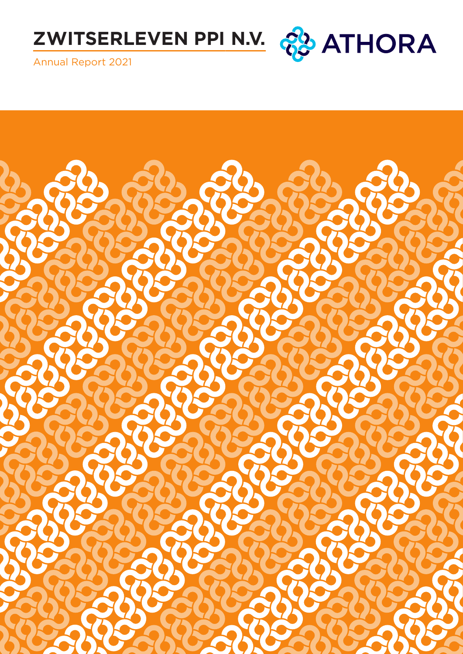



Annual Report 2021

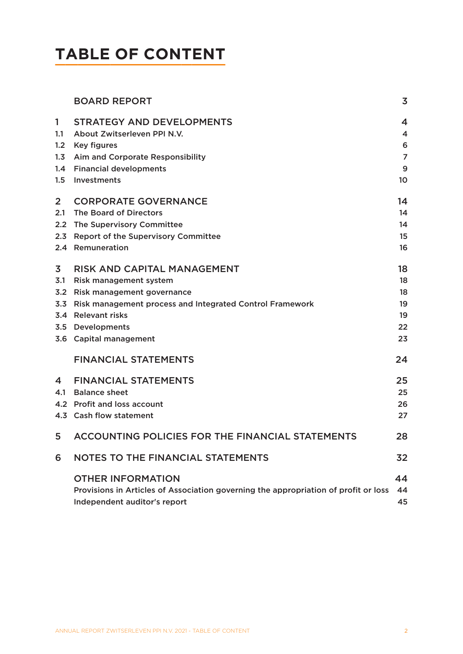# **TABLE OF CONTENT**

|                | <b>BOARD REPORT</b>                                                                 | 3              |
|----------------|-------------------------------------------------------------------------------------|----------------|
| 1              | <b>STRATEGY AND DEVELOPMENTS</b>                                                    | 4              |
| 1.1            | About Zwitserleven PPI N.V.                                                         | 4              |
| 1.2            | <b>Key figures</b>                                                                  | 6              |
| 1.3            | Aim and Corporate Responsibility                                                    | $\overline{7}$ |
| 1.4            | <b>Financial developments</b>                                                       | 9              |
| 1.5            | Investments                                                                         | 10             |
| $\overline{2}$ | <b>CORPORATE GOVERNANCE</b>                                                         | 14             |
| 2.1            | The Board of Directors                                                              | 14             |
| 2.2            | The Supervisory Committee                                                           | 14             |
| 2.3            | <b>Report of the Supervisory Committee</b>                                          | 15             |
|                | 2.4 Remuneration                                                                    | 16             |
| 3              | <b>RISK AND CAPITAL MANAGEMENT</b>                                                  | 18             |
| 3.1            | Risk management system                                                              | 18             |
| 3.2            | Risk management governance                                                          | 18             |
| 3.3            | Risk management process and Integrated Control Framework                            | 19             |
|                | 3.4 Relevant risks                                                                  | 19             |
|                | 3.5 Developments                                                                    | 22             |
|                | 3.6 Capital management                                                              | 23             |
|                | <b>FINANCIAL STATEMENTS</b>                                                         | 24             |
| 4              | <b>FINANCIAL STATEMENTS</b>                                                         | 25             |
| 4.1            | <b>Balance sheet</b>                                                                | 25             |
|                | 4.2 Profit and loss account                                                         | 26             |
|                | 4.3 Cash flow statement                                                             | 27             |
| 5              | <b>ACCOUNTING POLICIES FOR THE FINANCIAL STATEMENTS</b>                             | 28             |
| 6              | <b>NOTES TO THE FINANCIAL STATEMENTS</b>                                            | 32             |
|                | <b>OTHER INFORMATION</b>                                                            | 44             |
|                | Provisions in Articles of Association governing the appropriation of profit or loss | 44             |
|                | Independent auditor's report                                                        | 45             |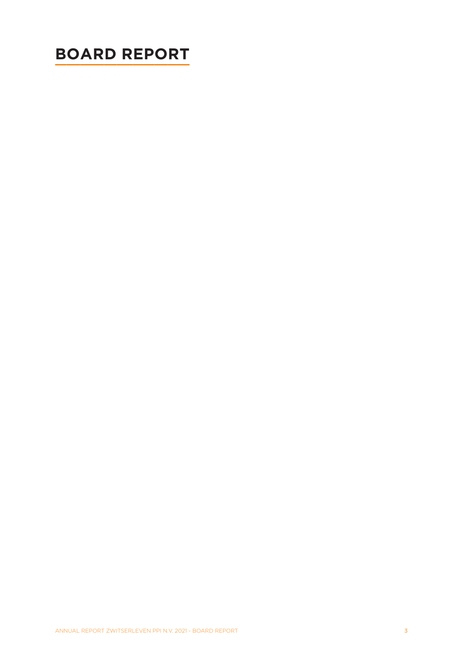# <span id="page-2-0"></span>**BOARD REPORT**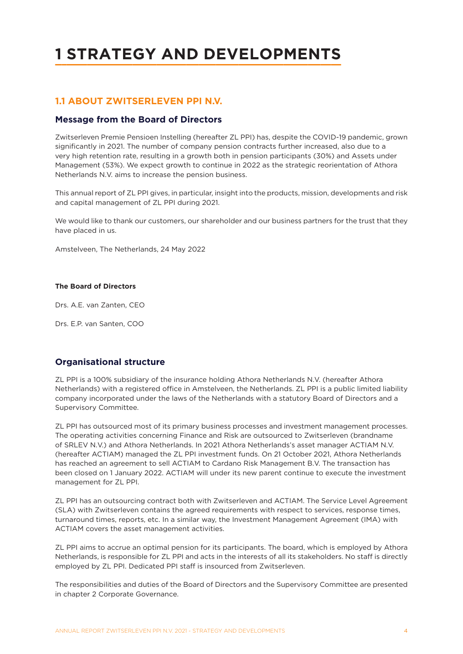# <span id="page-3-0"></span>**1 STRATEGY AND DEVELOPMENTS**

## **1.1 ABOUT ZWITSERLEVEN PPI N.V.**

### **Message from the Board of Directors**

Zwitserleven Premie Pensioen Instelling (hereafter ZL PPI) has, despite the COVID-19 pandemic, grown significantly in 2021. The number of company pension contracts further increased, also due to a very high retention rate, resulting in a growth both in pension participants (30%) and Assets under Management (53%). We expect growth to continue in 2022 as the strategic reorientation of Athora Netherlands N.V. aims to increase the pension business.

This annual report of ZL PPI gives, in particular, insight into the products, mission, developments and risk and capital management of ZL PPI during 2021.

We would like to thank our customers, our shareholder and our business partners for the trust that they have placed in us.

Amstelveen, The Netherlands, 24 May 2022

#### **The Board of Directors**

Drs. A.E. van Zanten, CEO

Drs. E.P. van Santen, COO

## **Organisational structure**

ZL PPI is a 100% subsidiary of the insurance holding Athora Netherlands N.V. (hereafter Athora Netherlands) with a registered office in Amstelveen, the Netherlands. ZL PPI is a public limited liability company incorporated under the laws of the Netherlands with a statutory Board of Directors and a Supervisory Committee.

ZL PPI has outsourced most of its primary business processes and investment management processes. The operating activities concerning Finance and Risk are outsourced to Zwitserleven (brandname of SRLEV N.V.) and Athora Netherlands. In 2021 Athora Netherlands's asset manager ACTIAM N.V. (hereafter ACTIAM) managed the ZL PPI investment funds. On 21 October 2021, Athora Netherlands has reached an agreement to sell ACTIAM to Cardano Risk Management B.V. The transaction has been closed on 1 January 2022. ACTIAM will under its new parent continue to execute the investment management for ZL PPI.

ZL PPI has an outsourcing contract both with Zwitserleven and ACTIAM. The Service Level Agreement (SLA) with Zwitserleven contains the agreed requirements with respect to services, response times, turnaround times, reports, etc. In a similar way, the Investment Management Agreement (IMA) with ACTIAM covers the asset management activities.

ZL PPI aims to accrue an optimal pension for its participants. The board, which is employed by Athora Netherlands, is responsible for ZL PPI and acts in the interests of all its stakeholders. No staff is directly employed by ZL PPI. Dedicated PPI staff is insourced from Zwitserleven.

The responsibilities and duties of the Board of Directors and the Supervisory Committee are presented in chapter 2 Corporate Governance.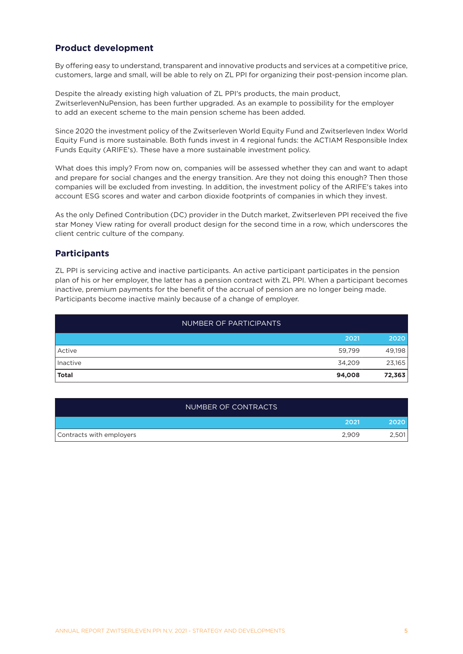## **Product development**

By offering easy to understand, transparent and innovative products and services at a competitive price, customers, large and small, will be able to rely on ZL PPI for organizing their post-pension income plan.

Despite the already existing high valuation of ZL PPI's products, the main product, ZwitserlevenNuPension, has been further upgraded. As an example to possibility for the employer to add an execent scheme to the main pension scheme has been added.

Since 2020 the investment policy of the Zwitserleven World Equity Fund and Zwitserleven Index World Equity Fund is more sustainable. Both funds invest in 4 regional funds: the ACTIAM Responsible Index Funds Equity (ARIFE's). These have a more sustainable investment policy.

What does this imply? From now on, companies will be assessed whether they can and want to adapt and prepare for social changes and the energy transition. Are they not doing this enough? Then those companies will be excluded from investing. In addition, the investment policy of the ARIFE's takes into account ESG scores and water and carbon dioxide footprints of companies in which they invest.

As the only Defined Contribution (DC) provider in the Dutch market, Zwitserleven PPI received the five star Money View rating for overall product design for the second time in a row, which underscores the client centric culture of the company.

## **Participants**

ZL PPI is servicing active and inactive participants. An active participant participates in the pension plan of his or her employer, the latter has a pension contract with ZL PPI. When a participant becomes inactive, premium payments for the benefit of the accrual of pension are no longer being made. Participants become inactive mainly because of a change of employer.

| NUMBER OF PARTICIPANTS |        |        |
|------------------------|--------|--------|
|                        | 2021   | 2020   |
| Active                 | 59,799 | 49,198 |
| Inactive               | 34,209 | 23,165 |
| <b>Total</b>           | 94,008 | 72,363 |

| NUMBER OF CONTRACTS      |       |       |
|--------------------------|-------|-------|
|                          | 2021  | 2020  |
| Contracts with employers | 2,909 | 2,501 |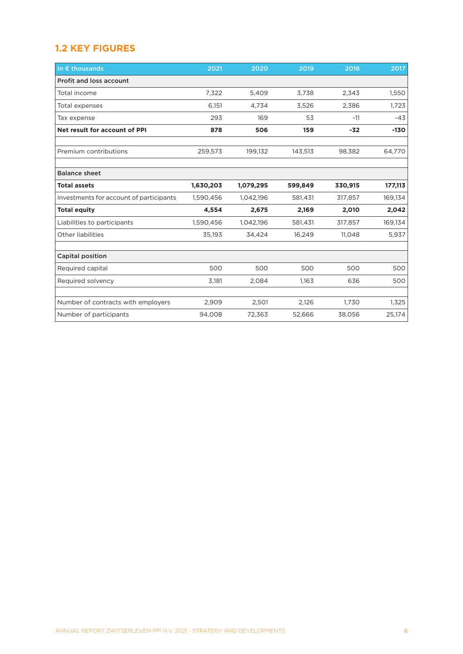# <span id="page-5-0"></span>**1.2 KEY FIGURES**

| In $\epsilon$ thousands                 | 2021      | 2020      | 2019    | 2018    | 2017    |
|-----------------------------------------|-----------|-----------|---------|---------|---------|
| <b>Profit and loss account</b>          |           |           |         |         |         |
| Total income                            | 7,322     | 5,409     | 3,738   | 2,343   | 1,550   |
| Total expenses                          | 6,151     | 4,734     | 3,526   | 2,386   | 1,723   |
| Tax expense                             | 293       | 169       | 53      | $-11$   | -43     |
| Net result for account of PPI           | 878       | 506       | 159     | $-32$   | $-130$  |
|                                         |           |           |         |         |         |
| Premium contributions                   | 259,573   | 199,132   | 143,513 | 98,382  | 64,770  |
| <b>Balance sheet</b>                    |           |           |         |         |         |
| <b>Total assets</b>                     | 1,630,203 | 1,079,295 | 599,849 | 330,915 | 177,113 |
| Investments for account of participants | 1,590,456 | 1,042,196 | 581,431 | 317,857 | 169,134 |
| <b>Total equity</b>                     | 4,554     | 2,675     | 2,169   | 2,010   | 2,042   |
| Liabilities to participants             | 1,590,456 | 1,042,196 | 581,431 | 317,857 | 169,134 |
| <b>Other liabilities</b>                | 35,193    | 34,424    | 16,249  | 11,048  | 5,937   |
|                                         |           |           |         |         |         |
| <b>Capital position</b>                 |           |           |         |         |         |
| Required capital                        | 500       | 500       | 500     | 500     | 500     |
| Required solvency                       | 3,181     | 2,084     | 1,163   | 636     | 500     |
|                                         |           |           |         |         |         |
| Number of contracts with employers      | 2,909     | 2,501     | 2,126   | 1,730   | 1,325   |
| Number of participants                  | 94,008    | 72,363    | 52,666  | 38,056  | 25,174  |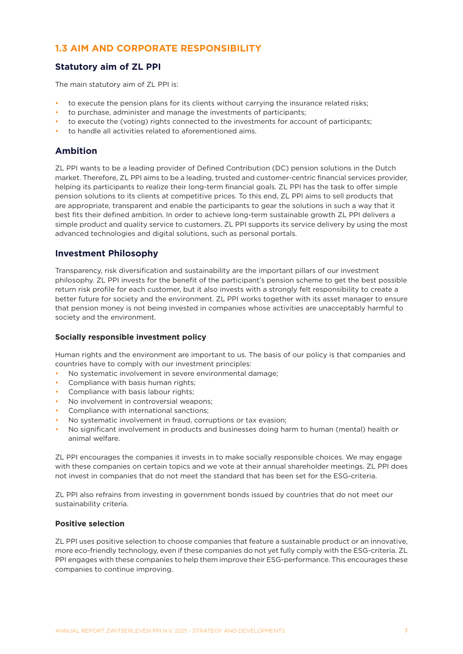# <span id="page-6-0"></span>**1.3 AIM AND CORPORATE RESPONSIBILITY**

## **Statutory aim of ZL PPI**

The main statutory aim of ZL PPI is:

- to execute the pension plans for its clients without carrying the insurance related risks;
- to purchase, administer and manage the investments of participants;
- to execute the (voting) rights connected to the investments for account of participants;
- to handle all activities related to aforementioned aims.

## **Ambition**

ZL PPI wants to be a leading provider of Defined Contribution (DC) pension solutions in the Dutch market. Therefore, ZL PPI aims to be a leading, trusted and customer-centric financial services provider, helping its participants to realize their long-term financial goals. ZL PPI has the task to offer simple pension solutions to its clients at competitive prices. To this end, ZL PPI aims to sell products that are appropriate, transparent and enable the participants to gear the solutions in such a way that it best fits their defined ambition. In order to achieve long-term sustainable growth ZL PPI delivers a simple product and quality service to customers. ZL PPI supports its service delivery by using the most advanced technologies and digital solutions, such as personal portals.

## **Investment Philosophy**

Transparency, risk diversification and sustainability are the important pillars of our investment philosophy. ZL PPI invests for the benefit of the participant's pension scheme to get the best possible return risk profile for each customer, but it also invests with a strongly felt responsibility to create a better future for society and the environment. ZL PPI works together with its asset manager to ensure that pension money is not being invested in companies whose activities are unacceptably harmful to society and the environment.

#### **Socially responsible investment policy**

Human rights and the environment are important to us. The basis of our policy is that companies and countries have to comply with our investment principles:

- No systematic involvement in severe environmental damage;
- Compliance with basis human rights;
- Compliance with basis labour rights:
- No involvement in controversial weapons;
- Compliance with international sanctions;
- No systematic involvement in fraud, corruptions or tax evasion;
- No significant involvement in products and businesses doing harm to human (mental) health or animal welfare.

ZL PPI encourages the companies it invests in to make socially responsible choices. We may engage with these companies on certain topics and we vote at their annual shareholder meetings. ZL PPI does not invest in companies that do not meet the standard that has been set for the ESG-criteria.

ZL PPI also refrains from investing in government bonds issued by countries that do not meet our sustainability criteria.

#### **Positive selection**

ZL PPI uses positive selection to choose companies that feature a sustainable product or an innovative, more eco-friendly technology, even if these companies do not yet fully comply with the ESG-criteria. ZL PPI engages with these companies to help them improve their ESG-performance. This encourages these companies to continue improving.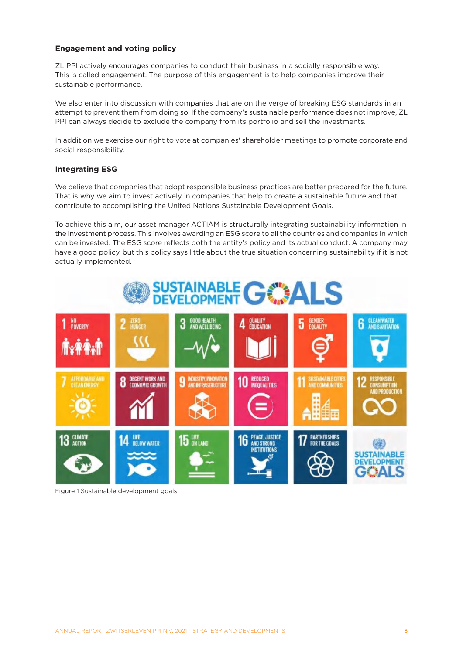### **Engagement and voting policy**

ZL PPI actively encourages companies to conduct their business in a socially responsible way. This is called engagement. The purpose of this engagement is to help companies improve their sustainable performance.

We also enter into discussion with companies that are on the verge of breaking ESG standards in an attempt to prevent them from doing so. If the company's sustainable performance does not improve, ZL PPI can always decide to exclude the company from its portfolio and sell the investments.

In addition we exercise our right to vote at companies' shareholder meetings to promote corporate and social responsibility.

#### **Integrating ESG**

We believe that companies that adopt responsible business practices are better prepared for the future. That is why we aim to invest actively in companies that help to create a sustainable future and that contribute to accomplishing the United Nations Sustainable Development Goals.

To achieve this aim, our asset manager ACTIAM is structurally integrating sustainability information in the investment process. This involves awarding an ESG score to all the countries and companies in which can be invested. The ESG score reflects both the entity's policy and its actual conduct. A company may have a good policy, but this policy says little about the true situation concerning sustainability if it is not actually implemented.



Figure 1 Sustainable development goals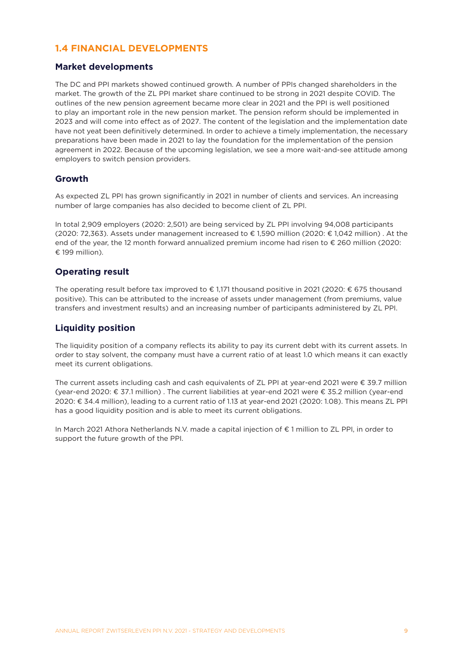## <span id="page-8-0"></span>**1.4 FINANCIAL DEVELOPMENTS**

## **Market developments**

The DC and PPI markets showed continued growth. A number of PPIs changed shareholders in the market. The growth of the ZL PPI market share continued to be strong in 2021 despite COVID. The outlines of the new pension agreement became more clear in 2021 and the PPI is well positioned to play an important role in the new pension market. The pension reform should be implemented in 2023 and will come into effect as of 2027. The content of the legislation and the implementation date have not yeat been definitively determined. In order to achieve a timely implementation, the necessary preparations have been made in 2021 to lay the foundation for the implementation of the pension agreement in 2022. Because of the upcoming legislation, we see a more wait-and-see attitude among employers to switch pension providers.

## **Growth**

As expected ZL PPI has grown significantly in 2021 in number of clients and services. An increasing number of large companies has also decided to become client of ZL PPI.

In total 2,909 employers (2020: 2,501) are being serviced by ZL PPI involving 94,008 participants (2020: 72,363). Assets under management increased to € 1,590 million (2020: € 1,042 million) . At the end of the year, the 12 month forward annualized premium income had risen to € 260 million (2020: € 199 million).

## **Operating result**

The operating result before tax improved to € 1,171 thousand positive in 2021 (2020: € 675 thousand positive). This can be attributed to the increase of assets under management (from premiums, value transfers and investment results) and an increasing number of participants administered by ZL PPI.

## **Liquidity position**

The liquidity position of a company reflects its ability to pay its current debt with its current assets. In order to stay solvent, the company must have a current ratio of at least 1.0 which means it can exactly meet its current obligations.

The current assets including cash and cash equivalents of ZL PPI at year-end 2021 were € 39.7 million (year-end 2020: € 37.1 million) . The current liabilities at year-end 2021 were € 35.2 million (year-end 2020: € 34.4 million), leading to a current ratio of 1.13 at year-end 2021 (2020: 1.08). This means ZL PPI has a good liquidity position and is able to meet its current obligations.

In March 2021 Athora Netherlands N.V. made a capital injection of € 1 million to ZL PPI, in order to support the future growth of the PPI.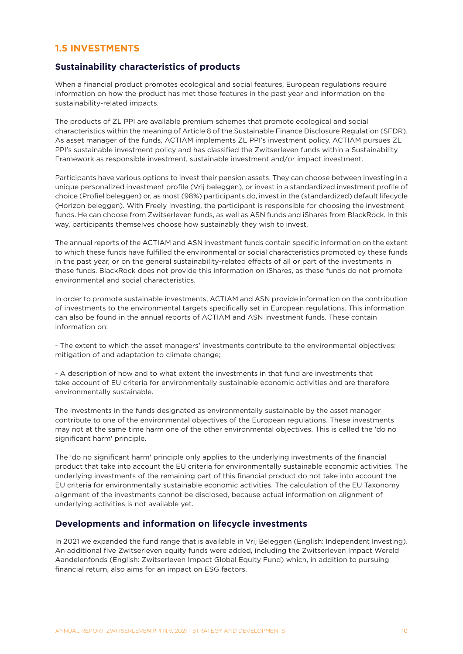## <span id="page-9-0"></span>**1.5 INVESTMENTS**

### **Sustainability characteristics of products**

When a financial product promotes ecological and social features, European regulations require information on how the product has met those features in the past year and information on the sustainability-related impacts.

The products of ZL PPI are available premium schemes that promote ecological and social characteristics within the meaning of Article 8 of the Sustainable Finance Disclosure Regulation (SFDR). As asset manager of the funds, ACTIAM implements ZL PPI's investment policy. ACTIAM pursues ZL PPI's sustainable investment policy and has classified the Zwitserleven funds within a Sustainability Framework as responsible investment, sustainable investment and/or impact investment.

Participants have various options to invest their pension assets. They can choose between investing in a unique personalized investment profile (Vrij beleggen), or invest in a standardized investment profile of choice (Profiel beleggen) or, as most (98%) participants do, invest in the (standardized) default lifecycle (Horizon beleggen). With Freely Investing, the participant is responsible for choosing the investment funds. He can choose from Zwitserleven funds, as well as ASN funds and iShares from BlackRock. In this way, participants themselves choose how sustainably they wish to invest.

The annual reports of the ACTIAM and ASN investment funds contain specific information on the extent to which these funds have fulfilled the environmental or social characteristics promoted by these funds in the past year, or on the general sustainability-related effects of all or part of the investments in these funds. BlackRock does not provide this information on iShares, as these funds do not promote environmental and social characteristics.

In order to promote sustainable investments, ACTIAM and ASN provide information on the contribution of investments to the environmental targets specifically set in European regulations. This information can also be found in the annual reports of ACTIAM and ASN investment funds. These contain information on:

- The extent to which the asset managers' investments contribute to the environmental objectives: mitigation of and adaptation to climate change;

- A description of how and to what extent the investments in that fund are investments that take account of EU criteria for environmentally sustainable economic activities and are therefore environmentally sustainable.

The investments in the funds designated as environmentally sustainable by the asset manager contribute to one of the environmental objectives of the European regulations. These investments may not at the same time harm one of the other environmental objectives. This is called the 'do no significant harm' principle.

The 'do no significant harm' principle only applies to the underlying investments of the financial product that take into account the EU criteria for environmentally sustainable economic activities. The underlying investments of the remaining part of this financial product do not take into account the EU criteria for environmentally sustainable economic activities. The calculation of the EU Taxonomy alignment of the investments cannot be disclosed, because actual information on alignment of underlying activities is not available yet.

### **Developments and information on lifecycle investments**

In 2021 we expanded the fund range that is available in Vrij Beleggen (English: Independent Investing). An additional five Zwitserleven equity funds were added, including the Zwitserleven Impact Wereld Aandelenfonds (English: Zwitserleven Impact Global Equity Fund) which, in addition to pursuing financial return, also aims for an impact on ESG factors.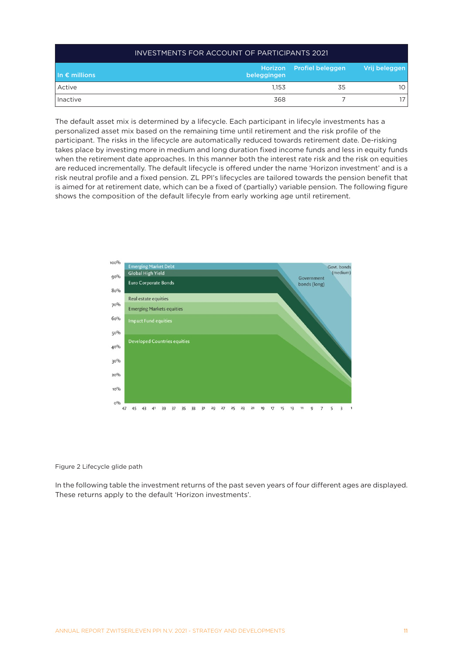| <b>INVESTMENTS FOR ACCOUNT OF PARTICIPANTS 2021</b>                                 |       |    |     |  |  |  |  |  |
|-------------------------------------------------------------------------------------|-------|----|-----|--|--|--|--|--|
| Horizon Profiel beleggen<br>Vrij beleggen<br>$\ln \epsilon$ millions<br>beleggingen |       |    |     |  |  |  |  |  |
| Active                                                                              | 1.153 | 35 | 10  |  |  |  |  |  |
| Inactive                                                                            | 368   |    | 171 |  |  |  |  |  |

The default asset mix is determined by a lifecycle. Each participant in lifecyle investments has a personalized asset mix based on the remaining time until retirement and the risk profile of the participant. The risks in the lifecycle are automatically reduced towards retirement date. De-risking takes place by investing more in medium and long duration fixed income funds and less in equity funds when the retirement date approaches. In this manner both the interest rate risk and the risk on equities are reduced incrementally. The default lifecycle is offered under the name 'Horizon investment' and is a risk neutral profile and a fixed pension. ZL PPI's lifecycles are tailored towards the pension benefit that is aimed for at retirement date, which can be a fixed of (partially) variable pension. The following figure shows the composition of the default lifecyle from early working age until retirement.



#### Figure 2 Lifecycle glide path

In the following table the investment returns of the past seven years of four different ages are displayed. These returns apply to the default 'Horizon investments'.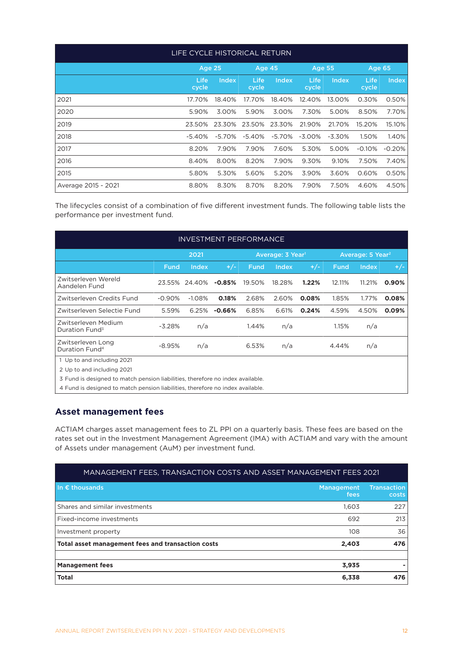| LIFE CYCLE HISTORICAL RETURN |               |          |                      |        |                      |          |                      |              |
|------------------------------|---------------|----------|----------------------|--------|----------------------|----------|----------------------|--------------|
|                              | Age 25        |          | Age 45               |        | <b>Age 55</b>        |          | <b>Age 65</b>        |              |
|                              | Life<br>cycle | Index    | <b>Life</b><br>cycle | Index  | <b>Life</b><br>cycle | Index    | <b>Life</b><br>cycle | <b>Index</b> |
| 2021                         | 17.70%        | 18.40%   | 17.70%               | 18.40% | 12.40%               | 13.00%   | 0.30%                | 0.50%        |
| 2020                         | 5.90%         | 3.00%    | 5.90%                | 3.00%  | 7.30%                | 5.00%    | 8.50%                | 7.70%        |
| 2019                         | 23.50%        | 23.30%   | 23.50%               | 23.30% | 21.90%               | 21.70%   | 15.20%               | 15.10%       |
| 2018                         | $-5.40%$      | $-5.70%$ | $-5.40%$             | -5.70% | $-3.00\%$            | $-3.30%$ | 1.50%                | 1.40%        |
| 2017                         | 8.20%         | 7.90%    | 7.90%                | 7.60%  | 5.30%                | 5.00%    | $-0.10%$             | $-0.20%$     |
| 2016                         | 8.40%         | 8.00%    | 8.20%                | 7.90%  | 9.30%                | 9.10%    | 7.50%                | 7.40%        |
| 2015                         | 5.80%         | 5.30%    | 5.60%                | 5.20%  | 3.90%                | 3.60%    | 0.60%                | 0.50%        |
| Average 2015 - 2021          | 8.80%         | 8.30%    | 8.70%                | 8.20%  | 7.90%                | 7.50%    | 4.60%                | 4.50%        |

The lifecycles consist of a combination of five different investment funds. The following table lists the performance per investment fund.

| <b>INVESTMENT PERFORMANCE</b>                                                  |             |                                      |          |             |              |                              |        |        |       |
|--------------------------------------------------------------------------------|-------------|--------------------------------------|----------|-------------|--------------|------------------------------|--------|--------|-------|
|                                                                                |             | 2021<br>Average: 3 Year <sup>1</sup> |          |             |              | Average: 5 Year <sup>2</sup> |        |        |       |
|                                                                                | <b>Fund</b> | Index                                | $+/-$    | <b>Fund</b> | <b>Index</b> | $+/-$                        | Fund   | Index  | $+/-$ |
| Zwitserleven Wereld<br>Aandelen Fund                                           |             | 23.55% 24.40%                        | $-0.85%$ | 19.50%      | 18.28%       | 1.22%                        | 12.11% | 11.21% | 0.90% |
| Zwitserleven Credits Fund                                                      | $-0.90%$    | $-1.08%$                             | 0.18%    | 2.68%       | 2.60%        | 0.08%                        | 1.85%  | 1.77%  | 0.08% |
| Zwitserleven Selectie Fund                                                     | 5.59%       | 6.25%                                | $-0.66%$ | 6.85%       | 6.61%        | 0.24%                        | 4.59%  | 4.50%  | 0.09% |
| Zwitserleven Medium<br>Duration Fund <sup>3</sup>                              | $-3.28%$    | n/a                                  |          | 1.44%       | n/a          |                              | 1.15%  | n/a    |       |
| Zwitserleven Long<br>Duration Fund <sup>4</sup>                                | -8.95%      | n/a                                  |          | 6.53%       | n/a          |                              | 4.44%  | n/a    |       |
| 1 Up to and including 2021                                                     |             |                                      |          |             |              |                              |        |        |       |
| 2 Up to and including 2021                                                     |             |                                      |          |             |              |                              |        |        |       |
| 3 Fund is designed to match pension liabilities, therefore no index available. |             |                                      |          |             |              |                              |        |        |       |

4 Fund is designed to match pension liabilities, therefore no index available.

## **Asset management fees**

ACTIAM charges asset management fees to ZL PPI on a quarterly basis. These fees are based on the rates set out in the Investment Management Agreement (IMA) with ACTIAM and vary with the amount of Assets under management (AuM) per investment fund.

## MANAGEMENT FEES, TRANSACTION COSTS AND ASSET MANAGEMENT FEES 2021

| In $\epsilon$ thousands                           | <b>Management</b><br>fees | <b>Transaction</b><br>costs |
|---------------------------------------------------|---------------------------|-----------------------------|
| Shares and similar investments                    | 1,603                     | 227                         |
| Fixed-income investments                          | 692                       | 213                         |
| Investment property                               | 108                       | 36                          |
| Total asset management fees and transaction costs | 2,403                     | 476                         |
| <b>Management fees</b>                            | 3,935                     |                             |
| <b>Total</b>                                      | 6,338                     | 476                         |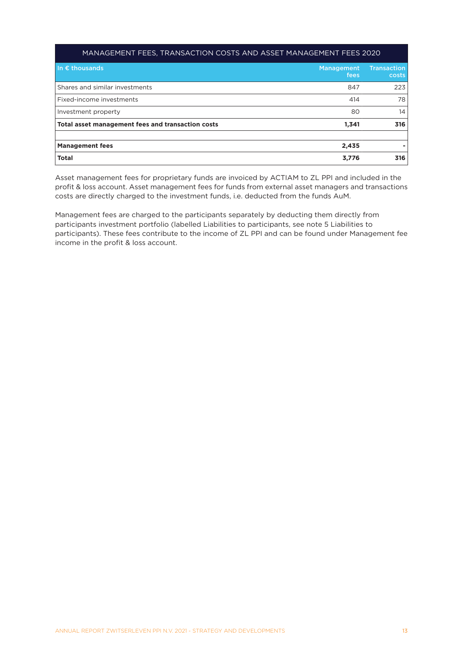#### MANAGEMENT FEES, TRANSACTION COSTS AND ASSET MANAGEMENT FEES 2020

| In $\epsilon$ thousands                           | Management<br>fees | <b>Transaction</b><br>costs |
|---------------------------------------------------|--------------------|-----------------------------|
| Shares and similar investments                    | 847                | 223                         |
| Fixed-income investments                          | 414                | 78                          |
| Investment property                               | 80                 | 14                          |
| Total asset management fees and transaction costs | 1,341              | 316                         |
|                                                   |                    |                             |
| <b>Management fees</b>                            | 2,435              |                             |
| <b>Total</b>                                      | 3,776              | 316                         |

Asset management fees for proprietary funds are invoiced by ACTIAM to ZL PPI and included in the profit & loss account. Asset management fees for funds from external asset managers and transactions costs are directly charged to the investment funds, i.e. deducted from the funds AuM.

Management fees are charged to the participants separately by deducting them directly from participants investment portfolio (labelled Liabilities to participants, see note 5 Liabilities to participants). These fees contribute to the income of ZL PPI and can be found under Management fee income in the profit & loss account.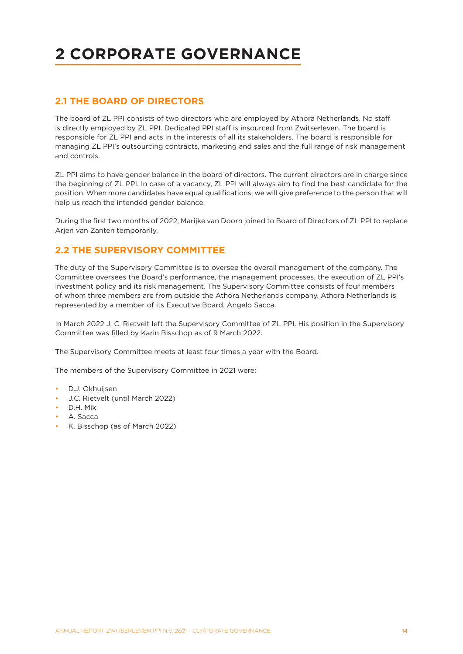# <span id="page-13-0"></span>**2 CORPORATE GOVERNANCE**

# **2.1 THE BOARD OF DIRECTORS**

The board of ZL PPI consists of two directors who are employed by Athora Netherlands. No staff is directly employed by ZL PPI. Dedicated PPI staff is insourced from Zwitserleven. The board is responsible for ZL PPI and acts in the interests of all its stakeholders. The board is responsible for managing ZL PPI's outsourcing contracts, marketing and sales and the full range of risk management and controls.

ZL PPI aims to have gender balance in the board of directors. The current directors are in charge since the beginning of ZL PPI. In case of a vacancy, ZL PPI will always aim to find the best candidate for the position. When more candidates have equal qualifications, we will give preference to the person that will help us reach the intended gender balance.

During the first two months of 2022, Marijke van Doorn joined to Board of Directors of ZL PPI to replace Arjen van Zanten temporarily.

## **2.2 THE SUPERVISORY COMMITTEE**

The duty of the Supervisory Committee is to oversee the overall management of the company. The Committee oversees the Board's performance, the management processes, the execution of ZL PPI's investment policy and its risk management. The Supervisory Committee consists of four members of whom three members are from outside the Athora Netherlands company. Athora Netherlands is represented by a member of its Executive Board, Angelo Sacca.

In March 2022 J. C. Rietvelt left the Supervisory Committee of ZL PPI. His position in the Supervisory Committee was filled by Karin Bisschop as of 9 March 2022.

The Supervisory Committee meets at least four times a year with the Board.

The members of the Supervisory Committee in 2021 were:

- D.J. Okhuijsen
- J.C. Rietvelt (until March 2022)
- D.H. Mik
- A. Sacca
- K. Bisschop (as of March 2022)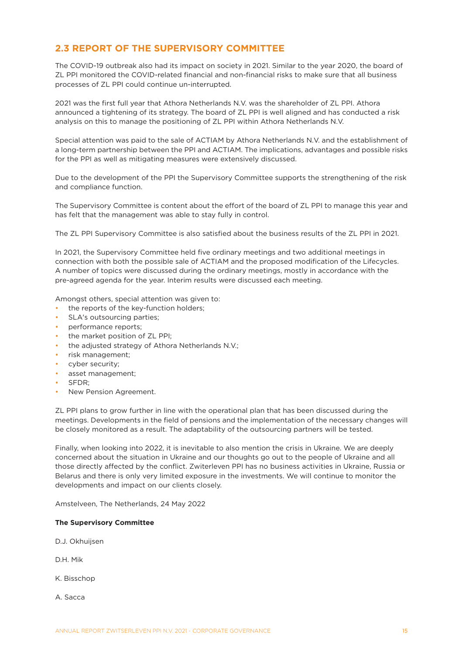# <span id="page-14-0"></span>**2.3 REPORT OF THE SUPERVISORY COMMITTEE**

The COVID-19 outbreak also had its impact on society in 2021. Similar to the year 2020, the board of ZL PPI monitored the COVID-related financial and non-financial risks to make sure that all business processes of ZL PPI could continue un-interrupted.

2021 was the first full year that Athora Netherlands N.V. was the shareholder of ZL PPI. Athora announced a tightening of its strategy. The board of ZL PPI is well aligned and has conducted a risk analysis on this to manage the positioning of ZL PPI within Athora Netherlands N.V.

Special attention was paid to the sale of ACTIAM by Athora Netherlands N.V. and the establishment of a long-term partnership between the PPI and ACTIAM. The implications, advantages and possible risks for the PPI as well as mitigating measures were extensively discussed.

Due to the development of the PPI the Supervisory Committee supports the strengthening of the risk and compliance function.

The Supervisory Committee is content about the effort of the board of ZL PPI to manage this year and has felt that the management was able to stay fully in control.

The ZL PPI Supervisory Committee is also satisfied about the business results of the ZL PPI in 2021.

In 2021, the Supervisory Committee held five ordinary meetings and two additional meetings in connection with both the possible sale of ACTIAM and the proposed modification of the Lifecycles. A number of topics were discussed during the ordinary meetings, mostly in accordance with the pre-agreed agenda for the year. Interim results were discussed each meeting.

Amongst others, special attention was given to:

- the reports of the key-function holders;
- SLA's outsourcing parties;
- performance reports;
- the market position of ZL PPI;
- the adjusted strategy of Athora Netherlands N.V.;
- risk management;
- cyber security:
- asset management;
- SFDR;
- New Pension Agreement.

ZL PPI plans to grow further in line with the operational plan that has been discussed during the meetings. Developments in the field of pensions and the implementation of the necessary changes will be closely monitored as a result. The adaptability of the outsourcing partners will be tested.

Finally, when looking into 2022, it is inevitable to also mention the crisis in Ukraine. We are deeply concerned about the situation in Ukraine and our thoughts go out to the people of Ukraine and all those directly affected by the conflict. Zwiterleven PPI has no business activities in Ukraine, Russia or Belarus and there is only very limited exposure in the investments. We will continue to monitor the developments and impact on our clients closely.

Amstelveen, The Netherlands, 24 May 2022

#### **The Supervisory Committee**

D.J. Okhuijsen

D.H. Mik

K. Bisschop

A. Sacca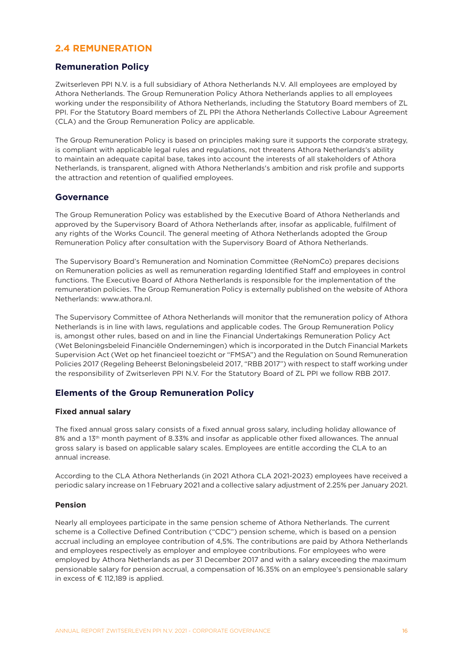## <span id="page-15-0"></span>**2.4 REMUNERATION**

## **Remuneration Policy**

Zwitserleven PPI N.V. is a full subsidiary of Athora Netherlands N.V. All employees are employed by Athora Netherlands. The Group Remuneration Policy Athora Netherlands applies to all employees working under the responsibility of Athora Netherlands, including the Statutory Board members of ZL PPI. For the Statutory Board members of ZL PPI the Athora Netherlands Collective Labour Agreement (CLA) and the Group Remuneration Policy are applicable.

The Group Remuneration Policy is based on principles making sure it supports the corporate strategy, is compliant with applicable legal rules and regulations, not threatens Athora Netherlands's ability to maintain an adequate capital base, takes into account the interests of all stakeholders of Athora Netherlands, is transparent, aligned with Athora Netherlands's ambition and risk profile and supports the attraction and retention of qualified employees.

### **Governance**

The Group Remuneration Policy was established by the Executive Board of Athora Netherlands and approved by the Supervisory Board of Athora Netherlands after, insofar as applicable, fulfilment of any rights of the Works Council. The general meeting of Athora Netherlands adopted the Group Remuneration Policy after consultation with the Supervisory Board of Athora Netherlands.

The Supervisory Board's Remuneration and Nomination Committee (ReNomCo) prepares decisions on Remuneration policies as well as remuneration regarding Identified Staff and employees in control functions. The Executive Board of Athora Netherlands is responsible for the implementation of the remuneration policies. The Group Remuneration Policy is externally published on the website of Athora Netherlands: www.athora.nl.

The Supervisory Committee of Athora Netherlands will monitor that the remuneration policy of Athora Netherlands is in line with laws, regulations and applicable codes. The Group Remuneration Policy is, amongst other rules, based on and in line the Financial Undertakings Remuneration Policy Act (Wet Beloningsbeleid Financiële Ondernemingen) which is incorporated in the Dutch Financial Markets Supervision Act (Wet op het financieel toezicht or "FMSA") and the Regulation on Sound Remuneration Policies 2017 (Regeling Beheerst Beloningsbeleid 2017, "RBB 2017") with respect to staff working under the responsibility of Zwitserleven PPI N.V. For the Statutory Board of ZL PPI we follow RBB 2017.

## **Elements of the Group Remuneration Policy**

#### **Fixed annual salary**

The fixed annual gross salary consists of a fixed annual gross salary, including holiday allowance of 8% and a 13th month payment of 8.33% and insofar as applicable other fixed allowances. The annual gross salary is based on applicable salary scales. Employees are entitle according the CLA to an annual increase.

According to the CLA Athora Netherlands (in 2021 Athora CLA 2021-2023) employees have received a periodic salary increase on 1 February 2021 and a collective salary adjustment of 2.25% per January 2021.

#### **Pension**

Nearly all employees participate in the same pension scheme of Athora Netherlands. The current scheme is a Collective Defined Contribution ("CDC") pension scheme, which is based on a pension accrual including an employee contribution of 4,5%. The contributions are paid by Athora Netherlands and employees respectively as employer and employee contributions. For employees who were employed by Athora Netherlands as per 31 December 2017 and with a salary exceeding the maximum pensionable salary for pension accrual, a compensation of 16.35% on an employee's pensionable salary in excess of € 112,189 is applied.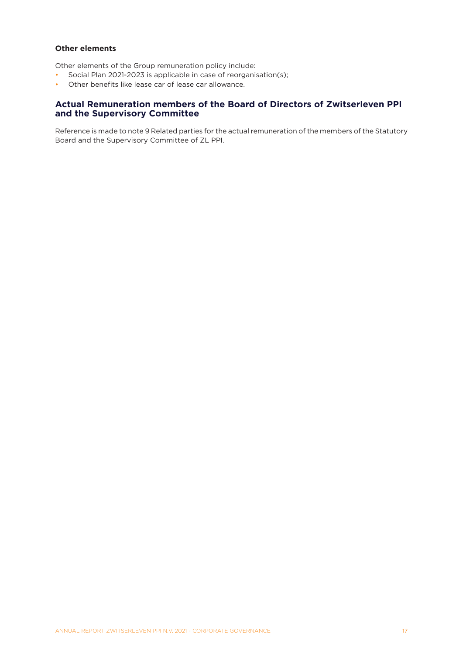### **Other elements**

Other elements of the Group remuneration policy include:

- Social Plan 2021-2023 is applicable in case of reorganisation(s);
- Other benefits like lease car of lease car allowance.

## **Actual Remuneration members of the Board of Directors of Zwitserleven PPI and the Supervisory Committee**

Reference is made to note 9 Related parties for the actual remuneration of the members of the Statutory Board and the Supervisory Committee of ZL PPI.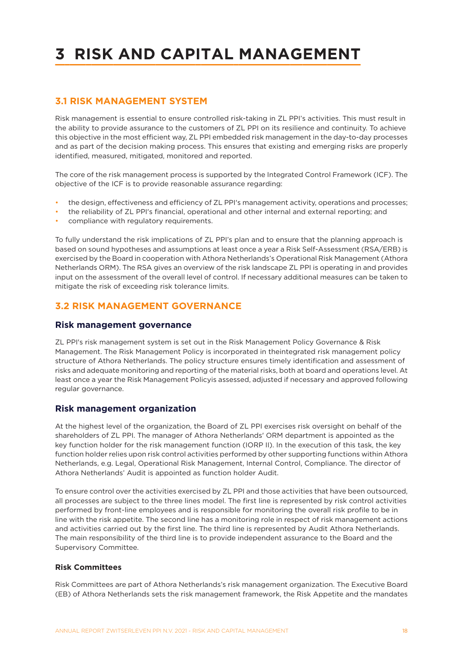# <span id="page-17-0"></span>**3 RISK AND CAPITAL MANAGEMENT**

## **3.1 RISK MANAGEMENT SYSTEM**

Risk management is essential to ensure controlled risk-taking in ZL PPI's activities. This must result in the ability to provide assurance to the customers of ZL PPI on its resilience and continuity. To achieve this objective in the most efficient way, ZL PPI embedded risk management in the day-to-day processes and as part of the decision making process. This ensures that existing and emerging risks are properly identified, measured, mitigated, monitored and reported.

The core of the risk management process is supported by the Integrated Control Framework (ICF). The objective of the ICF is to provide reasonable assurance regarding:

- the design, effectiveness and efficiency of ZL PPI's management activity, operations and processes;
- the reliability of ZL PPI's financial, operational and other internal and external reporting; and
- compliance with regulatory requirements.

To fully understand the risk implications of ZL PPI's plan and to ensure that the planning approach is based on sound hypotheses and assumptions at least once a year a Risk Self-Assessment (RSA/ERB) is exercised by the Board in cooperation with Athora Netherlands's Operational Risk Management (Athora Netherlands ORM). The RSA gives an overview of the risk landscape ZL PPI is operating in and provides input on the assessment of the overall level of control. If necessary additional measures can be taken to mitigate the risk of exceeding risk tolerance limits.

## **3.2 RISK MANAGEMENT GOVERNANCE**

#### **Risk management governance**

ZL PPI's risk management system is set out in the Risk Management Policy Governance & Risk Management. The Risk Management Policy is incorporated in theintegrated risk management policy structure of Athora Netherlands. The policy structure ensures timely identification and assessment of risks and adequate monitoring and reporting of the material risks, both at board and operations level. At least once a year the Risk Management Policyis assessed, adjusted if necessary and approved following regular governance.

### **Risk management organization**

At the highest level of the organization, the Board of ZL PPI exercises risk oversight on behalf of the shareholders of ZL PPI. The manager of Athora Netherlands' ORM department is appointed as the key function holder for the risk management function (IORP II). In the execution of this task, the key function holder relies upon risk control activities performed by other supporting functions within Athora Netherlands, e.g. Legal, Operational Risk Management, Internal Control, Compliance. The director of Athora Netherlands' Audit is appointed as function holder Audit.

To ensure control over the activities exercised by ZL PPI and those activities that have been outsourced, all processes are subject to the three lines model. The first line is represented by risk control activities performed by front-line employees and is responsible for monitoring the overall risk profile to be in line with the risk appetite. The second line has a monitoring role in respect of risk management actions and activities carried out by the first line. The third line is represented by Audit Athora Netherlands. The main responsibility of the third line is to provide independent assurance to the Board and the Supervisory Committee.

#### **Risk Committees**

Risk Committees are part of Athora Netherlands's risk management organization. The Executive Board (EB) of Athora Netherlands sets the risk management framework, the Risk Appetite and the mandates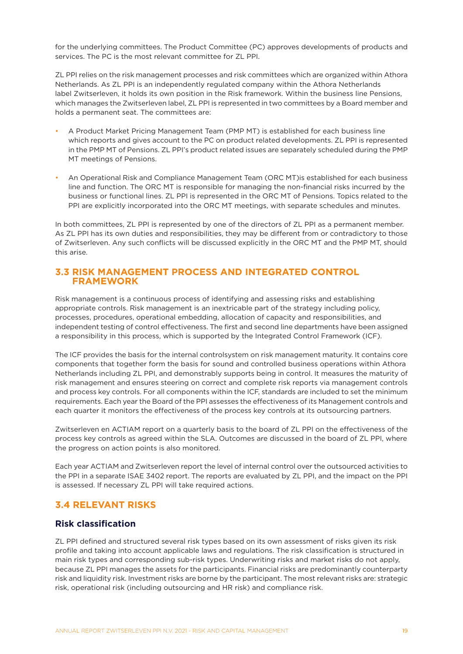<span id="page-18-0"></span>for the underlying committees. The Product Committee (PC) approves developments of products and services. The PC is the most relevant committee for ZL PPI.

ZL PPI relies on the risk management processes and risk committees which are organized within Athora Netherlands. As ZL PPI is an independently regulated company within the Athora Netherlands label Zwitserleven, it holds its own position in the Risk framework. Within the business line Pensions, which manages the Zwitserleven label, ZL PPI is represented in two committees by a Board member and holds a permanent seat. The committees are:

- A Product Market Pricing Management Team (PMP MT) is established for each business line which reports and gives account to the PC on product related developments. ZL PPI is represented in the PMP MT of Pensions. ZL PPI's product related issues are separately scheduled during the PMP MT meetings of Pensions.
- An Operational Risk and Compliance Management Team (ORC MT)is established for each business line and function. The ORC MT is responsible for managing the non-financial risks incurred by the business or functional lines. ZL PPI is represented in the ORC MT of Pensions. Topics related to the PPI are explicitly incorporated into the ORC MT meetings, with separate schedules and minutes.

In both committees, ZL PPI is represented by one of the directors of ZL PPI as a permanent member. As ZL PPI has its own duties and responsibilities, they may be different from or contradictory to those of Zwitserleven. Any such conflicts will be discussed explicitly in the ORC MT and the PMP MT, should this arise.

## **3.3 RISK MANAGEMENT PROCESS AND INTEGRATED CONTROL FRAMEWORK**

Risk management is a continuous process of identifying and assessing risks and establishing appropriate controls. Risk management is an inextricable part of the strategy including policy, processes, procedures, operational embedding, allocation of capacity and responsibilities, and independent testing of control effectiveness. The first and second line departments have been assigned a responsibility in this process, which is supported by the Integrated Control Framework (ICF).

The ICF provides the basis for the internal controlsystem on risk management maturity. It contains core components that together form the basis for sound and controlled business operations within Athora Netherlands including ZL PPI, and demonstrably supports being in control. It measures the maturity of risk management and ensures steering on correct and complete risk reports via management controls and process key controls. For all components within the ICF, standards are included to set the minimum requirements. Each year the Board of the PPI assesses the effectiveness of its Management controls and each quarter it monitors the effectiveness of the process key controls at its outsourcing partners.

Zwitserleven en ACTIAM report on a quarterly basis to the board of ZL PPI on the effectiveness of the process key controls as agreed within the SLA. Outcomes are discussed in the board of ZL PPI, where the progress on action points is also monitored.

Each year ACTIAM and Zwitserleven report the level of internal control over the outsourced activities to the PPI in a separate ISAE 3402 report. The reports are evaluated by ZL PPI, and the impact on the PPI is assessed. If necessary ZL PPI will take required actions.

## **3.4 RELEVANT RISKS**

## **Risk classification**

ZL PPI defined and structured several risk types based on its own assessment of risks given its risk profile and taking into account applicable laws and regulations. The risk classification is structured in main risk types and corresponding sub-risk types. Underwriting risks and market risks do not apply, because ZL PPI manages the assets for the participants. Financial risks are predominantly counterparty risk and liquidity risk. Investment risks are borne by the participant. The most relevant risks are: strategic risk, operational risk (including outsourcing and HR risk) and compliance risk.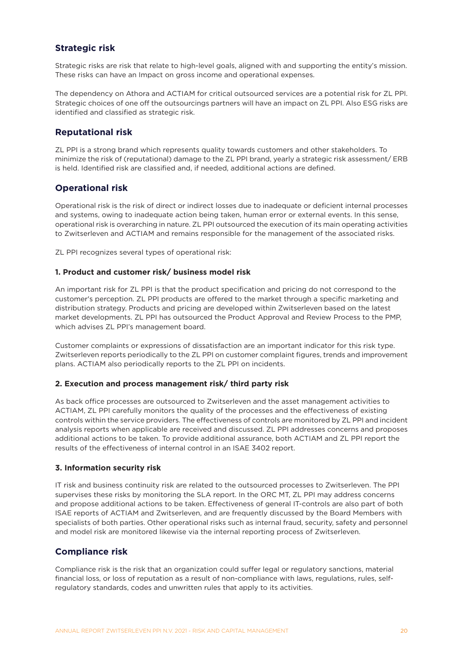## **Strategic risk**

Strategic risks are risk that relate to high-level goals, aligned with and supporting the entity's mission. These risks can have an Impact on gross income and operational expenses.

The dependency on Athora and ACTIAM for critical outsourced services are a potential risk for ZL PPI. Strategic choices of one off the outsourcings partners will have an impact on ZL PPI. Also ESG risks are identified and classified as strategic risk.

## **Reputational risk**

ZL PPI is a strong brand which represents quality towards customers and other stakeholders. To minimize the risk of (reputational) damage to the ZL PPI brand, yearly a strategic risk assessment/ ERB is held. Identified risk are classified and, if needed, additional actions are defined.

## **Operational risk**

Operational risk is the risk of direct or indirect losses due to inadequate or deficient internal processes and systems, owing to inadequate action being taken, human error or external events. In this sense, operational risk is overarching in nature. ZL PPI outsourced the execution of its main operating activities to Zwitserleven and ACTIAM and remains responsible for the management of the associated risks.

ZL PPI recognizes several types of operational risk:

#### **1. Product and customer risk/ business model risk**

An important risk for ZL PPI is that the product specification and pricing do not correspond to the customer's perception. ZL PPI products are offered to the market through a specific marketing and distribution strategy. Products and pricing are developed within Zwitserleven based on the latest market developments. ZL PPI has outsourced the Product Approval and Review Process to the PMP, which advises ZL PPI's management board.

Customer complaints or expressions of dissatisfaction are an important indicator for this risk type. Zwitserleven reports periodically to the ZL PPI on customer complaint figures, trends and improvement plans. ACTIAM also periodically reports to the ZL PPI on incidents.

#### **2. Execution and process management risk/ third party risk**

As back office processes are outsourced to Zwitserleven and the asset management activities to ACTIAM, ZL PPI carefully monitors the quality of the processes and the effectiveness of existing controls within the service providers. The effectiveness of controls are monitored by ZL PPI and incident analysis reports when applicable are received and discussed. ZL PPI addresses concerns and proposes additional actions to be taken. To provide additional assurance, both ACTIAM and ZL PPI report the results of the effectiveness of internal control in an ISAE 3402 report.

#### **3. Information security risk**

IT risk and business continuity risk are related to the outsourced processes to Zwitserleven. The PPI supervises these risks by monitoring the SLA report. In the ORC MT, ZL PPI may address concerns and propose additional actions to be taken. Effectiveness of general IT-controls are also part of both ISAE reports of ACTIAM and Zwitserleven, and are frequently discussed by the Board Members with specialists of both parties. Other operational risks such as internal fraud, security, safety and personnel and model risk are monitored likewise via the internal reporting process of Zwitserleven.

## **Compliance risk**

Compliance risk is the risk that an organization could suffer legal or regulatory sanctions, material financial loss, or loss of reputation as a result of non-compliance with laws, regulations, rules, selfregulatory standards, codes and unwritten rules that apply to its activities.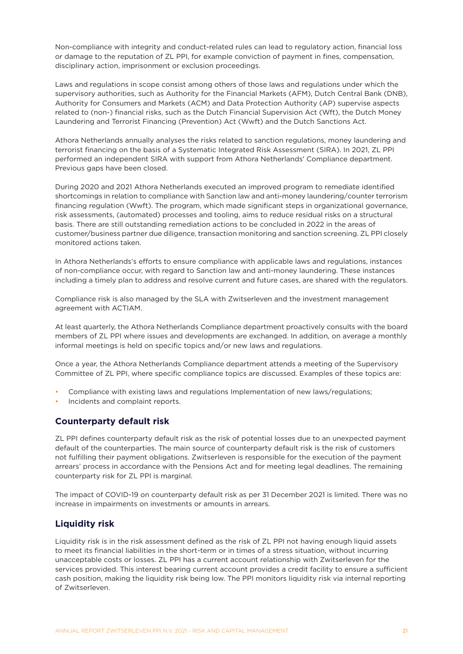Non-compliance with integrity and conduct-related rules can lead to regulatory action, financial loss or damage to the reputation of ZL PPI, for example conviction of payment in fines, compensation, disciplinary action, imprisonment or exclusion proceedings.

Laws and regulations in scope consist among others of those laws and regulations under which the supervisory authorities, such as Authority for the Financial Markets (AFM), Dutch Central Bank (DNB), Authority for Consumers and Markets (ACM) and Data Protection Authority (AP) supervise aspects related to (non-) financial risks, such as the Dutch Financial Supervision Act (Wft), the Dutch Money Laundering and Terrorist Financing (Prevention) Act (Wwft) and the Dutch Sanctions Act.

Athora Netherlands annually analyses the risks related to sanction regulations, money laundering and terrorist financing on the basis of a Systematic Integrated Risk Assessment (SIRA). In 2021, ZL PPI performed an independent SIRA with support from Athora Netherlands' Compliance department. Previous gaps have been closed.

During 2020 and 2021 Athora Netherlands executed an improved program to remediate identified shortcomings in relation to compliance with Sanction law and anti-money laundering/counter terrorism financing regulation (Wwft). The program, which made significant steps in organizational governance, risk assessments, (automated) processes and tooling, aims to reduce residual risks on a structural basis. There are still outstanding remediation actions to be concluded in 2022 in the areas of customer/business partner due diligence, transaction monitoring and sanction screening. ZL PPI closely monitored actions taken.

In Athora Netherlands's efforts to ensure compliance with applicable laws and regulations, instances of non-compliance occur, with regard to Sanction law and anti-money laundering. These instances including a timely plan to address and resolve current and future cases, are shared with the regulators.

Compliance risk is also managed by the SLA with Zwitserleven and the investment management agreement with ACTIAM.

At least quarterly, the Athora Netherlands Compliance department proactively consults with the board members of ZL PPI where issues and developments are exchanged. In addition, on average a monthly informal meetings is held on specific topics and/or new laws and regulations.

Once a year, the Athora Netherlands Compliance department attends a meeting of the Supervisory Committee of ZL PPI, where specific compliance topics are discussed. Examples of these topics are:

- Compliance with existing laws and regulations Implementation of new laws/regulations;
- Incidents and complaint reports.

## **Counterparty default risk**

ZL PPI defines counterparty default risk as the risk of potential losses due to an unexpected payment default of the counterparties. The main source of counterparty default risk is the risk of customers not fulfilling their payment obligations. Zwitserleven is responsible for the execution of the payment arrears' process in accordance with the Pensions Act and for meeting legal deadlines. The remaining counterparty risk for ZL PPI is marginal.

The impact of COVID-19 on counterparty default risk as per 31 December 2021 is limited. There was no increase in impairments on investments or amounts in arrears.

## **Liquidity risk**

Liquidity risk is in the risk assessment defined as the risk of ZL PPI not having enough liquid assets to meet its financial liabilities in the short-term or in times of a stress situation, without incurring unacceptable costs or losses. ZL PPI has a current account relationship with Zwitserleven for the services provided. This interest bearing current account provides a credit facility to ensure a sufficient cash position, making the liquidity risk being low. The PPI monitors liquidity risk via internal reporting of Zwitserleven.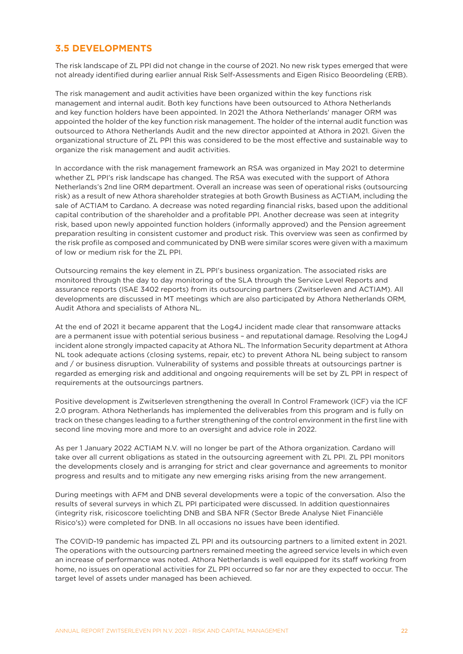## <span id="page-21-0"></span>**3.5 DEVELOPMENTS**

The risk landscape of ZL PPI did not change in the course of 2021. No new risk types emerged that were not already identified during earlier annual Risk Self-Assessments and Eigen Risico Beoordeling (ERB).

The risk management and audit activities have been organized within the key functions risk management and internal audit. Both key functions have been outsourced to Athora Netherlands and key function holders have been appointed. In 2021 the Athora Netherlands' manager ORM was appointed the holder of the key function risk management. The holder of the internal audit function was outsourced to Athora Netherlands Audit and the new director appointed at Athora in 2021. Given the organizational structure of ZL PPI this was considered to be the most effective and sustainable way to organize the risk management and audit activities.

In accordance with the risk management framework an RSA was organized in May 2021 to determine whether ZL PPI's risk landscape has changed. The RSA was executed with the support of Athora Netherlands's 2nd line ORM department. Overall an increase was seen of operational risks (outsourcing risk) as a result of new Athora shareholder strategies at both Growth Business as ACTIAM, including the sale of ACTIAM to Cardano. A decrease was noted regarding financial risks, based upon the additional capital contribution of the shareholder and a profitable PPI. Another decrease was seen at integrity risk, based upon newly appointed function holders (informally approved) and the Pension agreement preparation resulting in consistent customer and product risk. This overview was seen as confirmed by the risk profile as composed and communicated by DNB were similar scores were given with a maximum of low or medium risk for the ZL PPI.

Outsourcing remains the key element in ZL PPI's business organization. The associated risks are monitored through the day to day monitoring of the SLA through the Service Level Reports and assurance reports (ISAE 3402 reports) from its outsourcing partners (Zwitserleven and ACTIAM). All developments are discussed in MT meetings which are also participated by Athora Netherlands ORM, Audit Athora and specialists of Athora NL.

At the end of 2021 it became apparent that the Log4J incident made clear that ransomware attacks are a permanent issue with potential serious business – and reputational damage. Resolving the Log4J incident alone strongly impacted capacity at Athora NL. The Information Security department at Athora NL took adequate actions (closing systems, repair, etc) to prevent Athora NL being subject to ransom and / or business disruption. Vulnerability of systems and possible threats at outsourcings partner is regarded as emerging risk and additional and ongoing requirements will be set by ZL PPI in respect of requirements at the outsourcings partners.

Positive development is Zwitserleven strengthening the overall In Control Framework (ICF) via the ICF 2.0 program. Athora Netherlands has implemented the deliverables from this program and is fully on track on these changes leading to a further strengthening of the control environment in the first line with second line moving more and more to an oversight and advice role in 2022.

As per 1 January 2022 ACTIAM N.V. will no longer be part of the Athora organization. Cardano will take over all current obligations as stated in the outsourcing agreement with ZL PPI. ZL PPI monitors the developments closely and is arranging for strict and clear governance and agreements to monitor progress and results and to mitigate any new emerging risks arising from the new arrangement.

During meetings with AFM and DNB several developments were a topic of the conversation. Also the results of several surveys in which ZL PPI participated were discussed. In addition questionnaires (integrity risk, risicoscore toelichting DNB and SBA NFR (Sector Brede Analyse Niet Financiële Risico's)) were completed for DNB. In all occasions no issues have been identified.

The COVID-19 pandemic has impacted ZL PPI and its outsourcing partners to a limited extent in 2021. The operations with the outsourcing partners remained meeting the agreed service levels in which even an increase of performance was noted. Athora Netherlands is well equipped for its staff working from home, no issues on operational activities for ZL PPI occurred so far nor are they expected to occur. The target level of assets under managed has been achieved.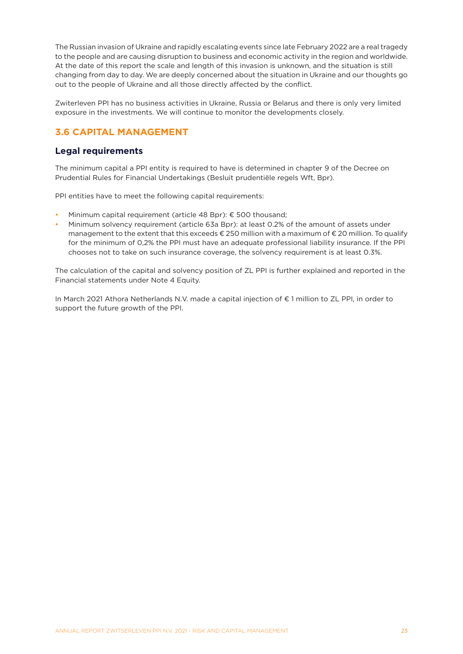<span id="page-22-0"></span>The Russian invasion of Ukraine and rapidly escalating events since late February 2022 are a real tragedy to the people and are causing disruption to business and economic activity in the region and worldwide. At the date of this report the scale and length of this invasion is unknown, and the situation is still changing from day to day. We are deeply concerned about the situation in Ukraine and our thoughts go out to the people of Ukraine and all those directly affected by the conflict.

Zwiterleven PPI has no business activities in Ukraine, Russia or Belarus and there is only very limited exposure in the investments. We will continue to monitor the developments closely.

# **3.6 CAPITAL MANAGEMENT**

## **Legal requirements**

The minimum capital a PPI entity is required to have is determined in chapter 9 of the Decree on Prudential Rules for Financial Undertakings (Besluit prudentiële regels Wft, Bpr).

PPI entities have to meet the following capital requirements:

- Minimum capital requirement (article 48 Bpr):  $\epsilon$  500 thousand;
- Minimum solvency requirement (article 63a Bpr): at least 0.2% of the amount of assets under management to the extent that this exceeds € 250 million with a maximum of € 20 million. To qualify for the minimum of 0,2% the PPI must have an adequate professional liability insurance. If the PPI chooses not to take on such insurance coverage, the solvency requirement is at least 0.3%.

The calculation of the capital and solvency position of ZL PPI is further explained and reported in the Financial statements under Note 4 Equity.

In March 2021 Athora Netherlands N.V. made a capital injection of € 1 million to ZL PPI, in order to support the future growth of the PPI.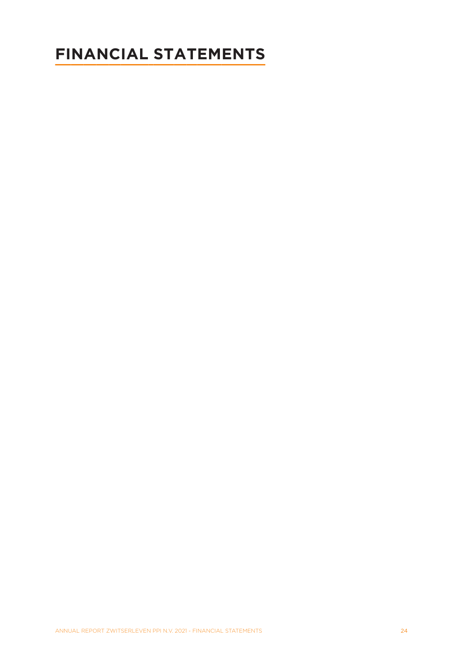# <span id="page-23-0"></span>**FINANCIAL STATEMENTS**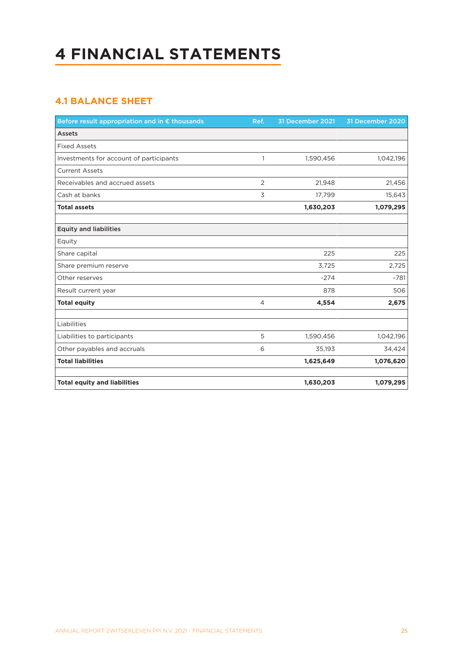# <span id="page-24-0"></span>**4 FINANCIAL STATEMENTS**

# **4.1 BALANCE SHEET**

| Before result appropriation and in € thousands | Ref.           | 31 December 2021 | 31 December 2020 |
|------------------------------------------------|----------------|------------------|------------------|
| <b>Assets</b>                                  |                |                  |                  |
| <b>Fixed Assets</b>                            |                |                  |                  |
| Investments for account of participants        | $\mathbf{1}$   | 1,590,456        | 1,042,196        |
| <b>Current Assets</b>                          |                |                  |                  |
| Receivables and accrued assets                 | $\overline{2}$ | 21,948           | 21,456           |
| Cash at banks                                  | 3              | 17,799           | 15,643           |
| <b>Total assets</b>                            |                | 1,630,203        | 1,079,295        |
|                                                |                |                  |                  |
| <b>Equity and liabilities</b>                  |                |                  |                  |
| Equity                                         |                |                  |                  |
| Share capital                                  |                | 225              | 225              |
| Share premium reserve                          |                | 3,725            | 2,725            |
| Other reserves                                 |                | $-274$           | $-781$           |
| Result current year                            |                | 878              | 506              |
| <b>Total equity</b>                            | 4              | 4,554            | 2,675            |
|                                                |                |                  |                  |
| Liabilities                                    |                |                  |                  |
| Liabilities to participants                    | 5              | 1,590,456        | 1,042,196        |
| Other payables and accruals                    | 6              | 35,193           | 34,424           |
| <b>Total liabilities</b>                       |                | 1,625,649        | 1,076,620        |
|                                                |                |                  |                  |
| <b>Total equity and liabilities</b>            |                | 1,630,203        | 1,079,295        |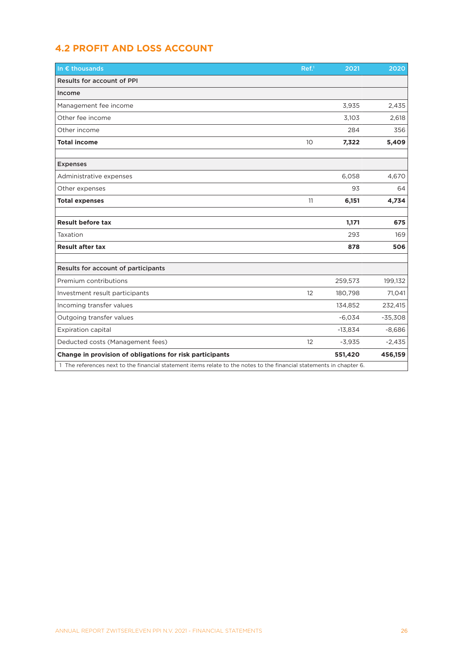# <span id="page-25-0"></span>**4.2 PROFIT AND LOSS ACCOUNT**

| In $\epsilon$ thousands                                                                                              | Ref <sup>1</sup> | 2021      | 2020      |
|----------------------------------------------------------------------------------------------------------------------|------------------|-----------|-----------|
| <b>Results for account of PPI</b>                                                                                    |                  |           |           |
| Income                                                                                                               |                  |           |           |
| Management fee income                                                                                                |                  | 3,935     | 2,435     |
| Other fee income                                                                                                     |                  | 3,103     | 2,618     |
| Other income                                                                                                         |                  | 284       | 356       |
| <b>Total income</b>                                                                                                  | 10               | 7,322     | 5,409     |
|                                                                                                                      |                  |           |           |
| <b>Expenses</b>                                                                                                      |                  |           |           |
| Administrative expenses                                                                                              |                  | 6,058     | 4,670     |
| Other expenses                                                                                                       |                  | 93        | 64        |
| <b>Total expenses</b>                                                                                                | 11               | 6,151     | 4,734     |
|                                                                                                                      |                  |           |           |
| <b>Result before tax</b>                                                                                             |                  | 1,171     | 675       |
| Taxation                                                                                                             |                  | 293       | 169       |
| <b>Result after tax</b>                                                                                              |                  | 878       | 506       |
|                                                                                                                      |                  |           |           |
| Results for account of participants                                                                                  |                  |           |           |
| Premium contributions                                                                                                |                  | 259,573   | 199,132   |
| Investment result participants                                                                                       | 12               | 180,798   | 71,041    |
| Incoming transfer values                                                                                             |                  | 134,852   | 232,415   |
| Outgoing transfer values                                                                                             |                  | $-6,034$  | $-35,308$ |
| <b>Expiration capital</b>                                                                                            |                  | $-13,834$ | $-8,686$  |
| Deducted costs (Management fees)                                                                                     | 12               | $-3,935$  | $-2,435$  |
| Change in provision of obligations for risk participants                                                             |                  | 551,420   | 456,159   |
| 1 The references next to the financial statement items relate to the notes to the financial statements in chapter 6. |                  |           |           |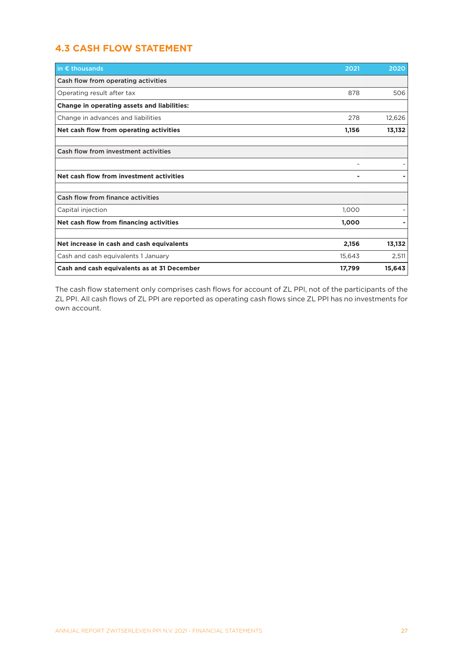# <span id="page-26-0"></span>**4.3 CASH FLOW STATEMENT**

| in $\epsilon$ thousands                            | 2021   | 2020   |
|----------------------------------------------------|--------|--------|
| Cash flow from operating activities                |        |        |
| Operating result after tax                         | 878    | 506    |
| <b>Change in operating assets and liabilities:</b> |        |        |
| Change in advances and liabilities                 | 278    | 12,626 |
| Net cash flow from operating activities            | 1,156  | 13,132 |
| Cash flow from investment activities               |        |        |
|                                                    |        |        |
| Net cash flow from investment activities           | ۰      |        |
| Cash flow from finance activities                  |        |        |
| Capital injection                                  | 1,000  |        |
| Net cash flow from financing activities            | 1,000  |        |
| Net increase in cash and cash equivalents          | 2,156  | 13,132 |
| Cash and cash equivalents 1 January                | 15,643 | 2,511  |
| Cash and cash equivalents as at 31 December        | 17,799 | 15,643 |

The cash flow statement only comprises cash flows for account of ZL PPI, not of the participants of the ZL PPI. All cash flows of ZL PPI are reported as operating cash flows since ZL PPI has no investments for own account.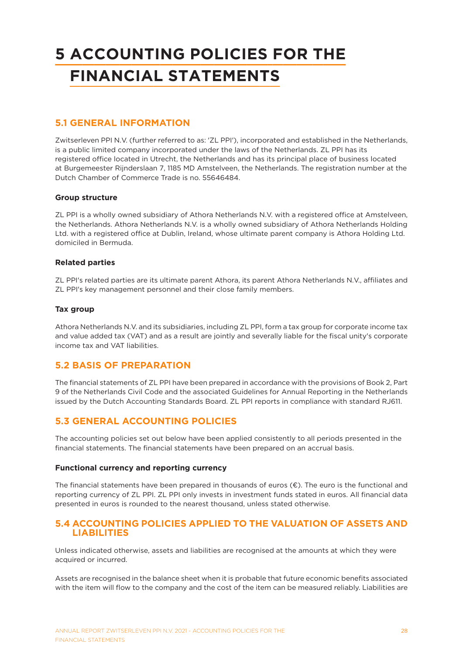# <span id="page-27-0"></span>**5 ACCOUNTING POLICIES FOR THE FINANCIAL STATEMENTS**

## **5.1 GENERAL INFORMATION**

Zwitserleven PPI N.V. (further referred to as: 'ZL PPI'), incorporated and established in the Netherlands, is a public limited company incorporated under the laws of the Netherlands. ZL PPI has its registered office located in Utrecht, the Netherlands and has its principal place of business located at Burgemeester Rijnderslaan 7, 1185 MD Amstelveen, the Netherlands. The registration number at the Dutch Chamber of Commerce Trade is no. 55646484.

### **Group structure**

ZL PPI is a wholly owned subsidiary of Athora Netherlands N.V. with a registered office at Amstelveen, the Netherlands. Athora Netherlands N.V. is a wholly owned subsidiary of Athora Netherlands Holding Ltd. with a registered office at Dublin, Ireland, whose ultimate parent company is Athora Holding Ltd. domiciled in Bermuda.

#### **Related parties**

ZL PPI's related parties are its ultimate parent Athora, its parent Athora Netherlands N.V., affiliates and ZL PPI's key management personnel and their close family members.

#### **Tax group**

Athora Netherlands N.V. and its subsidiaries, including ZL PPI, form a tax group for corporate income tax and value added tax (VAT) and as a result are jointly and severally liable for the fiscal unity's corporate income tax and VAT liabilities.

## **5.2 BASIS OF PREPARATION**

The financial statements of ZL PPI have been prepared in accordance with the provisions of Book 2, Part 9 of the Netherlands Civil Code and the associated Guidelines for Annual Reporting in the Netherlands issued by the Dutch Accounting Standards Board. ZL PPI reports in compliance with standard RJ611.

## **5.3 GENERAL ACCOUNTING POLICIES**

The accounting policies set out below have been applied consistently to all periods presented in the financial statements. The financial statements have been prepared on an accrual basis.

#### **Functional currency and reporting currency**

The financial statements have been prepared in thousands of euros  $(\epsilon)$ . The euro is the functional and reporting currency of ZL PPI. ZL PPI only invests in investment funds stated in euros. All financial data presented in euros is rounded to the nearest thousand, unless stated otherwise.

## **5.4 ACCOUNTING POLICIES APPLIED TO THE VALUATION OF ASSETS AND LIABILITIES**

Unless indicated otherwise, assets and liabilities are recognised at the amounts at which they were acquired or incurred.

Assets are recognised in the balance sheet when it is probable that future economic benefits associated with the item will flow to the company and the cost of the item can be measured reliably. Liabilities are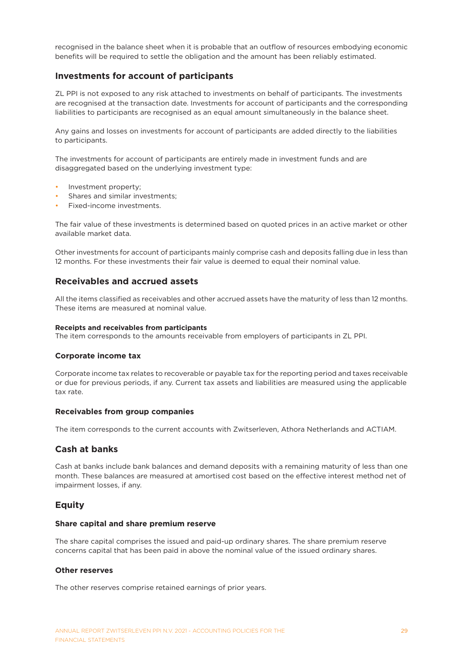recognised in the balance sheet when it is probable that an outflow of resources embodying economic benefits will be required to settle the obligation and the amount has been reliably estimated.

## **Investments for account of participants**

ZL PPI is not exposed to any risk attached to investments on behalf of participants. The investments are recognised at the transaction date. Investments for account of participants and the corresponding liabilities to participants are recognised as an equal amount simultaneously in the balance sheet.

Any gains and losses on investments for account of participants are added directly to the liabilities to participants.

The investments for account of participants are entirely made in investment funds and are disaggregated based on the underlying investment type:

- Investment property;
- Shares and similar investments;
- Fixed-income investments.

The fair value of these investments is determined based on quoted prices in an active market or other available market data.

Other investments for account of participants mainly comprise cash and deposits falling due in less than 12 months. For these investments their fair value is deemed to equal their nominal value.

### **Receivables and accrued assets**

All the items classified as receivables and other accrued assets have the maturity of less than 12 months. These items are measured at nominal value.

#### **Receipts and receivables from participants**

The item corresponds to the amounts receivable from employers of participants in ZL PPI.

#### **Corporate income tax**

Corporate income tax relates to recoverable or payable tax for the reporting period and taxes receivable or due for previous periods, if any. Current tax assets and liabilities are measured using the applicable tax rate.

#### **Receivables from group companies**

The item corresponds to the current accounts with Zwitserleven, Athora Netherlands and ACTIAM.

### **Cash at banks**

Cash at banks include bank balances and demand deposits with a remaining maturity of less than one month. These balances are measured at amortised cost based on the effective interest method net of impairment losses, if any.

### **Equity**

#### **Share capital and share premium reserve**

The share capital comprises the issued and paid-up ordinary shares. The share premium reserve concerns capital that has been paid in above the nominal value of the issued ordinary shares.

#### **Other reserves**

The other reserves comprise retained earnings of prior years.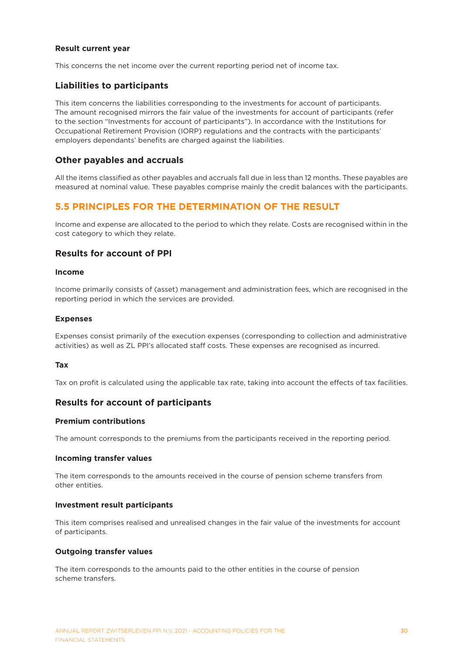#### **Result current year**

This concerns the net income over the current reporting period net of income tax.

## **Liabilities to participants**

This item concerns the liabilities corresponding to the investments for account of participants. The amount recognised mirrors the fair value of the investments for account of participants (refer to the section "Investments for account of participants"). In accordance with the Institutions for Occupational Retirement Provision (IORP) regulations and the contracts with the participants' employers dependants' benefits are charged against the liabilities.

#### **Other payables and accruals**

All the items classified as other payables and accruals fall due in less than 12 months. These payables are measured at nominal value. These payables comprise mainly the credit balances with the participants.

## **5.5 PRINCIPLES FOR THE DETERMINATION OF THE RESULT**

Income and expense are allocated to the period to which they relate. Costs are recognised within in the cost category to which they relate.

### **Results for account of PPI**

#### **Income**

Income primarily consists of (asset) management and administration fees, which are recognised in the reporting period in which the services are provided.

#### **Expenses**

Expenses consist primarily of the execution expenses (corresponding to collection and administrative activities) as well as ZL PPI's allocated staff costs. These expenses are recognised as incurred.

#### **Tax**

Tax on profit is calculated using the applicable tax rate, taking into account the effects of tax facilities.

### **Results for account of participants**

#### **Premium contributions**

The amount corresponds to the premiums from the participants received in the reporting period.

#### **Incoming transfer values**

The item corresponds to the amounts received in the course of pension scheme transfers from other entities.

#### **Investment result participants**

This item comprises realised and unrealised changes in the fair value of the investments for account of participants.

#### **Outgoing transfer values**

The item corresponds to the amounts paid to the other entities in the course of pension scheme transfers.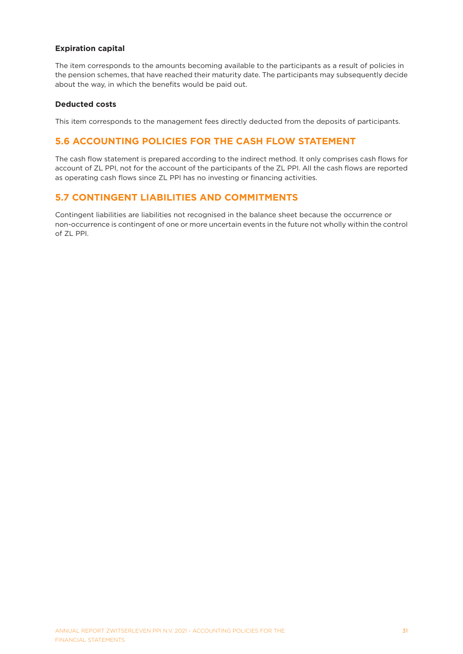#### **Expiration capital**

The item corresponds to the amounts becoming available to the participants as a result of policies in the pension schemes, that have reached their maturity date. The participants may subsequently decide about the way, in which the benefits would be paid out.

#### **Deducted costs**

This item corresponds to the management fees directly deducted from the deposits of participants.

## **5.6 ACCOUNTING POLICIES FOR THE CASH FLOW STATEMENT**

The cash flow statement is prepared according to the indirect method. It only comprises cash flows for account of ZL PPI, not for the account of the participants of the ZL PPI. All the cash flows are reported as operating cash flows since ZL PPI has no investing or financing activities.

## **5.7 CONTINGENT LIABILITIES AND COMMITMENTS**

Contingent liabilities are liabilities not recognised in the balance sheet because the occurrence or non-occurrence is contingent of one or more uncertain events in the future not wholly within the control of ZL PPI.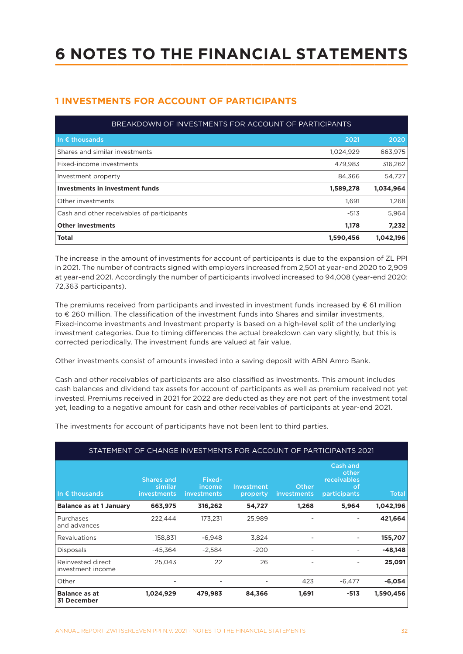# <span id="page-31-0"></span>**6 NOTES TO THE FINANCIAL STATEMENTS**

# **1 INVESTMENTS FOR ACCOUNT OF PARTICIPANTS**

| BREAKDOWN OF INVESTMENTS FOR ACCOUNT OF PARTICIPANTS |           |           |  |
|------------------------------------------------------|-----------|-----------|--|
| In $\epsilon$ thousands                              | 2021      | 2020      |  |
| Shares and similar investments                       | 1,024,929 | 663,975   |  |
| Fixed-income investments                             | 479,983   | 316,262   |  |
| Investment property                                  | 84,366    | 54,727    |  |
| <b>Investments in investment funds</b>               | 1,589,278 | 1,034,964 |  |
| Other investments                                    | 1.691     | 1,268     |  |
| Cash and other receivables of participants           | $-513$    | 5,964     |  |
| <b>Other investments</b>                             | 1,178     | 7,232     |  |
| <b>Total</b>                                         | 1,590,456 | 1,042,196 |  |

The increase in the amount of investments for account of participants is due to the expansion of ZL PPI in 2021. The number of contracts signed with employers increased from 2,501 at year-end 2020 to 2,909 at year-end 2021. Accordingly the number of participants involved increased to 94,008 (year-end 2020: 72,363 participants).

The premiums received from participants and invested in investment funds increased by  $\epsilon$  61 million to € 260 million. The classification of the investment funds into Shares and similar investments, Fixed-income investments and Investment property is based on a high-level split of the underlying investment categories. Due to timing differences the actual breakdown can vary slightly, but this is corrected periodically. The investment funds are valued at fair value.

Other investments consist of amounts invested into a saving deposit with ABN Amro Bank.

Cash and other receivables of participants are also classified as investments. This amount includes cash balances and dividend tax assets for account of participants as well as premium received not yet invested. Premiums received in 2021 for 2022 are deducted as they are not part of the investment total yet, leading to a negative amount for cash and other receivables of participants at year-end 2021.

The investments for account of participants have not been lent to third parties.

| STATEMENT OF CHANGE INVESTMENTS FOR ACCOUNT OF PARTICIPANTS 2021 |                                             |                                 |                        |                          |                                                               |              |
|------------------------------------------------------------------|---------------------------------------------|---------------------------------|------------------------|--------------------------|---------------------------------------------------------------|--------------|
| In $\epsilon$ thousands                                          | <b>Shares and</b><br>similar<br>investments | Fixed-<br>income<br>investments | Investment<br>property | Other<br>investments     | Cash and<br>other<br><b>receivables</b><br>of<br>participants | <b>Total</b> |
| <b>Balance as at 1 January</b>                                   | 663,975                                     | 316,262                         | 54,727                 | 1,268                    | 5,964                                                         | 1,042,196    |
| Purchases<br>and advances                                        | 222,444                                     | 173,231                         | 25,989                 |                          |                                                               | 421,664      |
| Revaluations                                                     | 158,831                                     | $-6,948$                        | 3,824                  | $\overline{a}$           |                                                               | 155,707      |
| Disposals                                                        | $-45,364$                                   | $-2,584$                        | $-200$                 | $\overline{\phantom{a}}$ |                                                               | $-48,148$    |
| Reinvested direct<br>investment income                           | 25,043                                      | 22                              | 26                     | $\overline{a}$           |                                                               | 25,091       |
| Other                                                            | ۰                                           | $\overline{a}$                  |                        | 423                      | $-6,477$                                                      | $-6,054$     |
| <b>Balance as at</b><br><b>31 December</b>                       | 1,024,929                                   | 479,983                         | 84,366                 | 1,691                    | $-513$                                                        | 1,590,456    |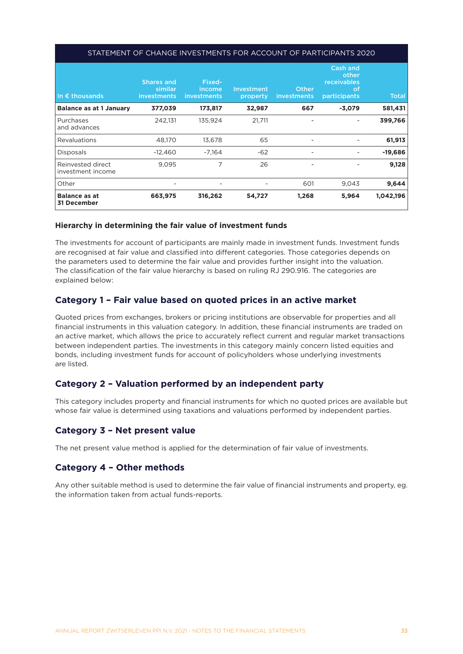#### STATEMENT OF CHANGE INVESTMENTS FOR ACCOUNT OF PARTICIPANTS 2020

| In $\epsilon$ thousands                | <b>Shares and</b><br>similar<br><i>investments</i> | Fixed-<br>income<br>investments | Investment<br>property | Other<br>investments     | Cash and<br>other<br>receivables<br><b>of</b><br>participants | <b>Total</b> |
|----------------------------------------|----------------------------------------------------|---------------------------------|------------------------|--------------------------|---------------------------------------------------------------|--------------|
| <b>Balance as at 1 January</b>         | 377,039                                            | 173,817                         | 32,987                 | 667                      | $-3,079$                                                      | 581,431      |
| Purchases<br>and advances              | 242,131                                            | 135,924                         | 21,711                 |                          |                                                               | 399,766      |
| <b>Revaluations</b>                    | 48,170                                             | 13,678                          | 65                     | $\overline{\phantom{a}}$ |                                                               | 61,913       |
| Disposals                              | $-12.460$                                          | $-7.164$                        | $-62$                  | $\overline{\phantom{a}}$ |                                                               | $-19,686$    |
| Reinvested direct<br>investment income | 9.095                                              | 7                               | 26                     | $\overline{\phantom{a}}$ |                                                               | 9,128        |
| Other                                  | $\overline{\phantom{0}}$                           | $\overline{\phantom{a}}$        |                        | 601                      | 9,043                                                         | 9,644        |
| <b>Balance as at</b><br>31 December    | 663,975                                            | 316,262                         | 54,727                 | 1,268                    | 5,964                                                         | 1,042,196    |

#### **Hierarchy in determining the fair value of investment funds**

The investments for account of participants are mainly made in investment funds. Investment funds are recognised at fair value and classified into different categories. Those categories depends on the parameters used to determine the fair value and provides further insight into the valuation. The classification of the fair value hierarchy is based on ruling RJ 290.916. The categories are explained below:

### **Category 1 – Fair value based on quoted prices in an active market**

Quoted prices from exchanges, brokers or pricing institutions are observable for properties and all financial instruments in this valuation category. In addition, these financial instruments are traded on an active market, which allows the price to accurately reflect current and regular market transactions between independent parties. The investments in this category mainly concern listed equities and bonds, including investment funds for account of policyholders whose underlying investments are listed.

### **Category 2 – Valuation performed by an independent party**

This category includes property and financial instruments for which no quoted prices are available but whose fair value is determined using taxations and valuations performed by independent parties.

## **Category 3 – Net present value**

The net present value method is applied for the determination of fair value of investments.

### **Category 4 – Other methods**

Any other suitable method is used to determine the fair value of financial instruments and property, eg. the information taken from actual funds-reports.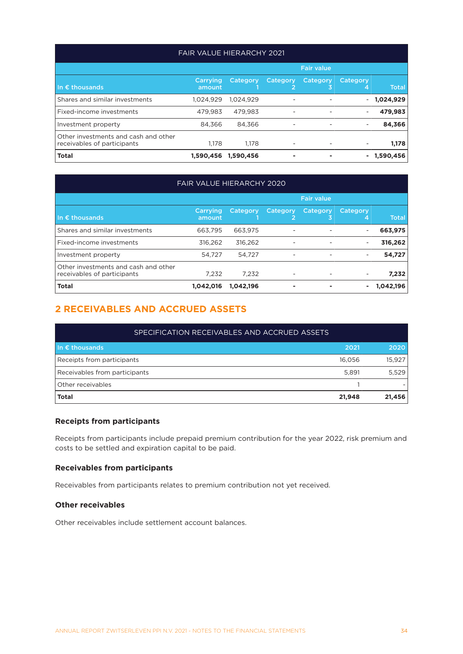#### FAIR VALUE HIERARCHY 2021

|                                                                     | <b>Fair value</b>  |           |                          |                          |               |              |
|---------------------------------------------------------------------|--------------------|-----------|--------------------------|--------------------------|---------------|--------------|
| In $\epsilon$ thousands,                                            | Carrying<br>amount | Category  | Category                 | Category<br>3            | Category<br>4 | <b>Total</b> |
| Shares and similar investments                                      | 1.024.929          | 1.024.929 | ۰                        |                          |               | 1,024,929    |
| Fixed-income investments                                            | 479.983            | 479.983   | $\overline{\phantom{0}}$ | $\overline{\phantom{a}}$ |               | 479,983      |
| Investment property                                                 | 84.366             | 84.366    | $\overline{\phantom{0}}$ |                          |               | 84,366       |
| Other investments and cash and other<br>receivables of participants | 1.178              | 1.178     | $\overline{a}$           | $\overline{\phantom{a}}$ |               | 1,178        |
| <b>Total</b>                                                        | 1.590.456          | 1,590,456 | ۰                        |                          |               | 1,590,456    |

# FAIR VALUE HIERARCHY 2020

|                                                                     | <b>Fair value</b>  |           |                            |               |               |              |
|---------------------------------------------------------------------|--------------------|-----------|----------------------------|---------------|---------------|--------------|
| In $\epsilon$ thousands                                             | Carrying<br>amount | Category  | Category<br>$\overline{2}$ | Category<br>3 | Category<br>4 | <b>Total</b> |
| Shares and similar investments                                      | 663,795            | 663,975   | $\overline{\phantom{a}}$   |               |               | 663,975      |
| Fixed-income investments                                            | 316.262            | 316,262   | $\overline{\phantom{a}}$   |               | -             | 316,262      |
| Investment property                                                 | 54,727             | 54.727    | $\overline{\phantom{a}}$   |               |               | 54,727       |
| Other investments and cash and other<br>receivables of participants | 7.232              | 7.232     | $\overline{\phantom{a}}$   |               | -             | 7,232        |
| <b>Total</b>                                                        | 1,042,016          | 1,042,196 | $\blacksquare$             |               |               | 1,042,196    |

## **2 RECEIVABLES AND ACCRUED ASSETS**

| SPECIFICATION RECEIVABLES AND ACCRUED ASSETS |        |        |  |  |
|----------------------------------------------|--------|--------|--|--|
| In $\epsilon$ thousands                      | 2021   | 2020   |  |  |
| Receipts from participants                   | 16.056 | 15,927 |  |  |
| Receivables from participants                | 5,891  | 5,529  |  |  |
| Other receivables                            |        |        |  |  |
| <b>Total</b>                                 | 21,948 | 21,456 |  |  |

#### **Receipts from participants**

Receipts from participants include prepaid premium contribution for the year 2022, risk premium and costs to be settled and expiration capital to be paid.

#### **Receivables from participants**

Receivables from participants relates to premium contribution not yet received.

#### **Other receivables**

Other receivables include settlement account balances.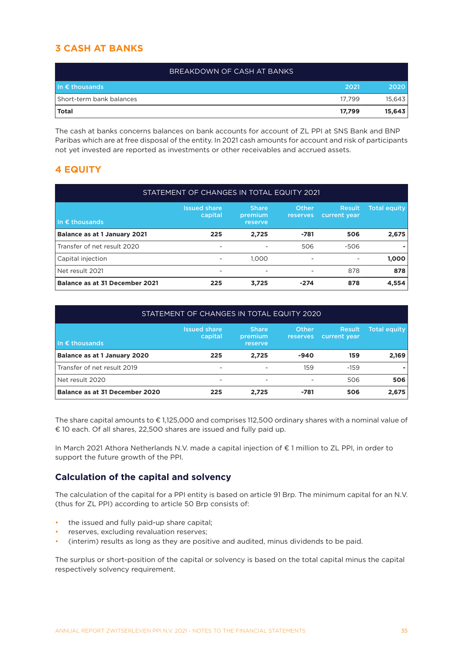# **3 CASH AT BANKS**

| BREAKDOWN OF CASH AT BANKS |        |        |
|----------------------------|--------|--------|
| I In $\epsilon$ thousands  | 2021   | 2020   |
| Short-term bank balances   | 17.799 | 15,643 |
| <b>Total</b>               | 17,799 | 15,643 |

The cash at banks concerns balances on bank accounts for account of ZL PPI at SNS Bank and BNP Paribas which are at free disposal of the entity. In 2021 cash amounts for account and risk of participants not yet invested are reported as investments or other receivables and accrued assets.

## **4 EQUITY**

| STATEMENT OF CHANGES IN TOTAL EQUITY 2021 |                                |                                    |                          |                               |                     |
|-------------------------------------------|--------------------------------|------------------------------------|--------------------------|-------------------------------|---------------------|
| In $\epsilon$ thousands                   | <b>Issued share</b><br>capital | <b>Share</b><br>premium<br>reserve | Other<br>reserves        | <b>Result</b><br>current year | <b>Total equity</b> |
| <b>Balance as at 1 January 2021</b>       | 225                            | 2,725                              | $-781$                   | 506                           | 2,675               |
| Transfer of net result 2020               | $\overline{\phantom{0}}$       | $\overline{\phantom{a}}$           | 506                      | $-506$                        | ٠                   |
| Capital injection                         | $\overline{\phantom{0}}$       | 1.000                              | $\overline{\phantom{a}}$ | -                             | 1,000               |
| Net result 2021                           |                                | $\overline{\phantom{a}}$           | $\overline{\phantom{a}}$ | 878                           | 878                 |
| Balance as at 31 December 2021            | 225                            | 3,725                              | $-274$                   | 878                           | 4,554               |

| STATEMENT OF CHANGES IN TOTAL EQUITY 2020 |                                |                                    |                          |                               |                     |
|-------------------------------------------|--------------------------------|------------------------------------|--------------------------|-------------------------------|---------------------|
| In $\epsilon$ thousands                   | <b>Issued share</b><br>capital | <b>Share</b><br>premium<br>reserve | <b>Other</b><br>reserves | <b>Result</b><br>current year | <b>Total equity</b> |
| <b>Balance as at 1 January 2020</b>       | 225                            | 2,725                              | $-940$                   | 159                           | 2,169               |
| Transfer of net result 2019               | $\overline{\phantom{0}}$       |                                    | 159                      | $-159$                        |                     |
| Net result 2020                           | $\overline{\phantom{0}}$       | $\overline{\phantom{0}}$           | $\overline{\phantom{a}}$ | 506                           | 506                 |
| Balance as at 31 December 2020            | 225                            | 2,725                              | $-781$                   | 506                           | 2,675               |

The share capital amounts to € 1,125,000 and comprises 112,500 ordinary shares with a nominal value of € 10 each. Of all shares, 22,500 shares are issued and fully paid up.

In March 2021 Athora Netherlands N.V. made a capital injection of € 1 million to ZL PPI, in order to support the future growth of the PPI.

## **Calculation of the capital and solvency**

The calculation of the capital for a PPI entity is based on article 91 Brp. The minimum capital for an N.V. (thus for ZL PPI) according to article 50 Brp consists of:

- the issued and fully paid-up share capital;
- reserves, excluding revaluation reserves;
- (interim) results as long as they are positive and audited, minus dividends to be paid.

The surplus or short-position of the capital or solvency is based on the total capital minus the capital respectively solvency requirement.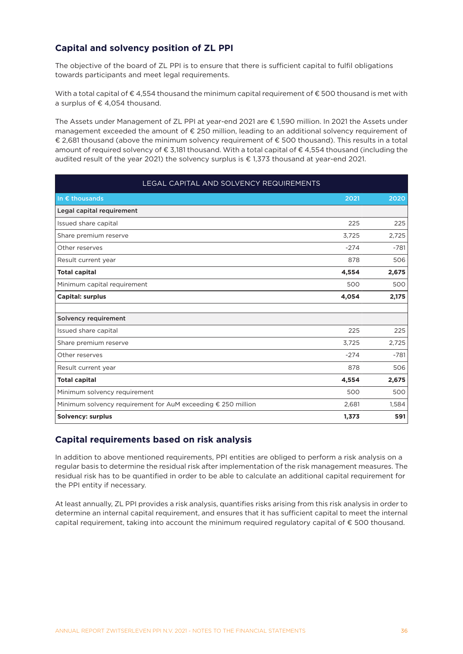## **Capital and solvency position of ZL PPI**

The objective of the board of ZL PPI is to ensure that there is sufficient capital to fulfil obligations towards participants and meet legal requirements.

With a total capital of €4,554 thousand the minimum capital requirement of €500 thousand is met with a surplus of € 4,054 thousand.

The Assets under Management of ZL PPI at year-end 2021 are € 1,590 million. In 2021 the Assets under management exceeded the amount of € 250 million, leading to an additional solvency requirement of € 2,681 thousand (above the minimum solvency requirement of € 500 thousand). This results in a total amount of required solvency of € 3,181 thousand. With a total capital of € 4,554 thousand (including the audited result of the year 2021) the solvency surplus is  $\epsilon$  1.373 thousand at year-end 2021.

| LEGAL CAPITAL AND SOLVENCY REQUIREMENTS                      |        |        |
|--------------------------------------------------------------|--------|--------|
| In $\epsilon$ thousands                                      | 2021   | 2020   |
| Legal capital requirement                                    |        |        |
| Issued share capital                                         | 225    | 225    |
| Share premium reserve                                        | 3,725  | 2,725  |
| Other reserves                                               | $-274$ | $-781$ |
| Result current year                                          | 878    | 506    |
| <b>Total capital</b>                                         | 4,554  | 2,675  |
| Minimum capital requirement                                  | 500    | 500    |
| <b>Capital: surplus</b>                                      | 4,054  | 2,175  |
| Solvency requirement                                         |        |        |
| Issued share capital                                         | 225    | 225    |
| Share premium reserve                                        | 3,725  | 2,725  |
| Other reserves                                               | $-274$ | $-781$ |
| Result current year                                          | 878    | 506    |
| <b>Total capital</b>                                         | 4,554  | 2,675  |
| Minimum solvency requirement                                 | 500    | 500    |
| Minimum solvency requirement for AuM exceeding € 250 million | 2,681  | 1,584  |
| <b>Solvency: surplus</b>                                     | 1,373  | 591    |

### **Capital requirements based on risk analysis**

In addition to above mentioned requirements, PPI entities are obliged to perform a risk analysis on a regular basis to determine the residual risk after implementation of the risk management measures. The residual risk has to be quantified in order to be able to calculate an additional capital requirement for the PPI entity if necessary.

At least annually, ZL PPI provides a risk analysis, quantifies risks arising from this risk analysis in order to determine an internal capital requirement, and ensures that it has sufficient capital to meet the internal capital requirement, taking into account the minimum required regulatory capital of € 500 thousand.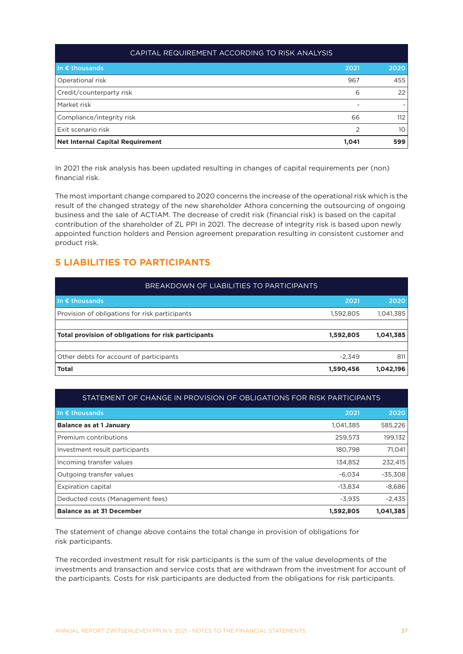| CAPITAL REQUIREMENT ACCORDING TO RISK ANALYSIS |                          |      |  |  |
|------------------------------------------------|--------------------------|------|--|--|
| In $\epsilon$ thousands                        | 2021                     | 2020 |  |  |
| Operational risk                               | 967                      | 455  |  |  |
| Credit/counterparty risk                       | 6                        | 22   |  |  |
| Market risk                                    | $\overline{\phantom{0}}$ |      |  |  |
| Compliance/integrity risk                      | 66                       | 112  |  |  |
| Exit scenario risk                             | $\mathcal{P}$            | 10   |  |  |
| <b>Net Internal Capital Requirement</b>        | 1,041                    | 599  |  |  |

In 2021 the risk analysis has been updated resulting in changes of capital requirements per (non) financial risk.

The most important change compared to 2020 concerns the increase of the operational risk which is the result of the changed strategy of the new shareholder Athora concerning the outsourcing of ongoing business and the sale of ACTIAM. The decrease of credit risk (financial risk) is based on the capital contribution of the shareholder of ZL PPI in 2021. The decrease of integrity risk is based upon newly appointed function holders and Pension agreement preparation resulting in consistent customer and product risk.

## **5 LIABILITIES TO PARTICIPANTS**

| BREAKDOWN OF LIABILITIES TO PARTICIPANTS             |           |           |
|------------------------------------------------------|-----------|-----------|
| In $\epsilon$ thousands                              | 2021      | 2020      |
| Provision of obligations for risk participants       | 1.592.805 | 1,041,385 |
|                                                      |           |           |
| Total provision of obligations for risk participants | 1,592,805 | 1,041,385 |
|                                                      |           |           |
| Other debts for account of participants              | $-2.349$  | 811       |
| Total                                                | 1,590,456 | 1,042,196 |

## STATEMENT OF CHANGE IN PROVISION OF OBLIGATIONS FOR RISK PARTICIPANTS

| In $\epsilon$ thousands          | 2021      | 2020      |
|----------------------------------|-----------|-----------|
| <b>Balance as at 1 January</b>   | 1,041,385 | 585,226   |
| Premium contributions            | 259,573   | 199,132   |
| Investment result participants   | 180,798   | 71,041    |
| Incoming transfer values         | 134.852   | 232,415   |
| Outgoing transfer values         | $-6.034$  | $-35,308$ |
| <b>Expiration capital</b>        | $-13,834$ | $-8,686$  |
| Deducted costs (Management fees) | $-3,935$  | $-2,435$  |
| <b>Balance as at 31 December</b> | 1,592,805 | 1,041,385 |

The statement of change above contains the total change in provision of obligations for risk participants.

The recorded investment result for risk participants is the sum of the value developments of the investments and transaction and service costs that are withdrawn from the investment for account of the participants. Costs for risk participants are deducted from the obligations for risk participants.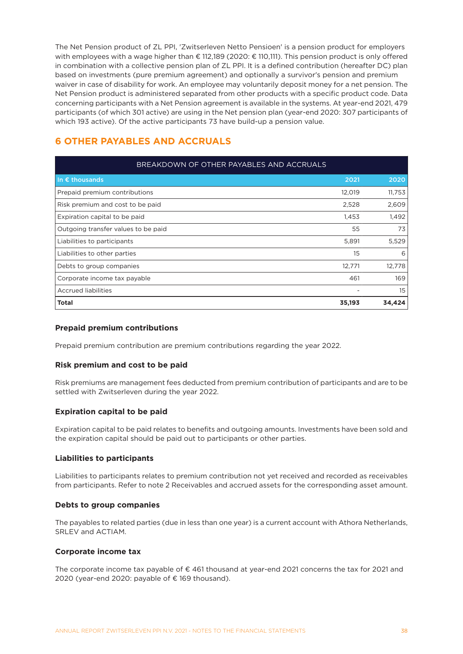The Net Pension product of ZL PPI, 'Zwitserleven Netto Pensioen' is a pension product for employers with employees with a wage higher than € 112,189 (2020: € 110,111). This pension product is only offered in combination with a collective pension plan of ZL PPI. It is a defined contribution (hereafter DC) plan based on investments (pure premium agreement) and optionally a survivor's pension and premium waiver in case of disability for work. An employee may voluntarily deposit money for a net pension. The Net Pension product is administered separated from other products with a specific product code. Data concerning participants with a Net Pension agreement is available in the systems. At year-end 2021, 479 participants (of which 301 active) are using in the Net pension plan (year-end 2020: 307 participants of which 193 active). Of the active participants 73 have build-up a pension value.

# **6 OTHER PAYABLES AND ACCRUALS**

| BREAKDOWN OF OTHER PAYABLES AND ACCRUALS |        |        |  |
|------------------------------------------|--------|--------|--|
| In $\epsilon$ thousands                  | 2021   | 2020   |  |
| Prepaid premium contributions            | 12,019 | 11,753 |  |
| Risk premium and cost to be paid         | 2,528  | 2,609  |  |
| Expiration capital to be paid            | 1,453  | 1,492  |  |
| Outgoing transfer values to be paid      | 55     | 73     |  |
| Liabilities to participants              | 5,891  | 5,529  |  |
| Liabilities to other parties             | 15     | 6      |  |
| Debts to group companies                 | 12,771 | 12,778 |  |
| Corporate income tax payable             | 461    | 169    |  |
| <b>Accrued liabilities</b>               |        | 15     |  |
| <b>Total</b>                             | 35,193 | 34,424 |  |

#### **Prepaid premium contributions**

Prepaid premium contribution are premium contributions regarding the year 2022.

#### **Risk premium and cost to be paid**

Risk premiums are management fees deducted from premium contribution of participants and are to be settled with Zwitserleven during the year 2022.

#### **Expiration capital to be paid**

Expiration capital to be paid relates to benefits and outgoing amounts. Investments have been sold and the expiration capital should be paid out to participants or other parties.

#### **Liabilities to participants**

Liabilities to participants relates to premium contribution not yet received and recorded as receivables from participants. Refer to note 2 Receivables and accrued assets for the corresponding asset amount.

#### **Debts to group companies**

The payables to related parties (due in less than one year) is a current account with Athora Netherlands, SRLEV and ACTIAM.

#### **Corporate income tax**

The corporate income tax payable of € 461 thousand at year-end 2021 concerns the tax for 2021 and 2020 (year-end 2020: payable of  $\epsilon$  169 thousand).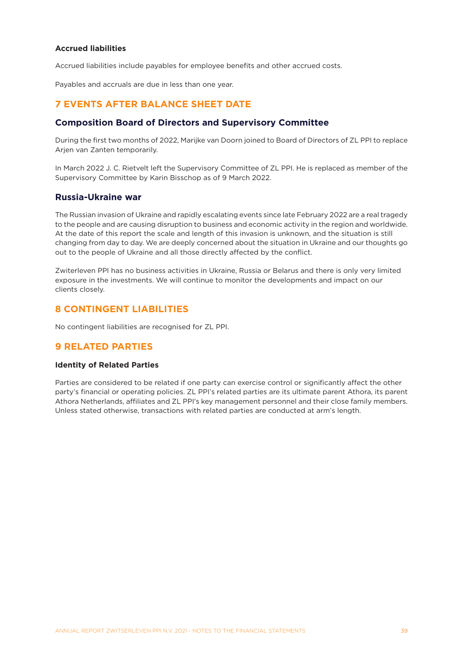#### **Accrued liabilities**

Accrued liabilities include payables for employee benefits and other accrued costs.

Payables and accruals are due in less than one year.

## **7 EVENTS AFTER BALANCE SHEET DATE**

### **Composition Board of Directors and Supervisory Committee**

During the first two months of 2022, Marijke van Doorn joined to Board of Directors of ZL PPI to replace Arjen van Zanten temporarily.

In March 2022 J. C. Rietvelt left the Supervisory Committee of ZL PPI. He is replaced as member of the Supervisory Committee by Karin Bisschop as of 9 March 2022.

### **Russia-Ukraine war**

The Russian invasion of Ukraine and rapidly escalating events since late February 2022 are a real tragedy to the people and are causing disruption to business and economic activity in the region and worldwide. At the date of this report the scale and length of this invasion is unknown, and the situation is still changing from day to day. We are deeply concerned about the situation in Ukraine and our thoughts go out to the people of Ukraine and all those directly affected by the conflict.

Zwiterleven PPI has no business activities in Ukraine, Russia or Belarus and there is only very limited exposure in the investments. We will continue to monitor the developments and impact on our clients closely.

## **8 CONTINGENT LIABILITIES**

No contingent liabilities are recognised for ZL PPI.

## **9 RELATED PARTIES**

#### **Identity of Related Parties**

Parties are considered to be related if one party can exercise control or significantly affect the other party's financial or operating policies. ZL PPI's related parties are its ultimate parent Athora, its parent Athora Netherlands, affiliates and ZL PPI's key management personnel and their close family members. Unless stated otherwise, transactions with related parties are conducted at arm's length.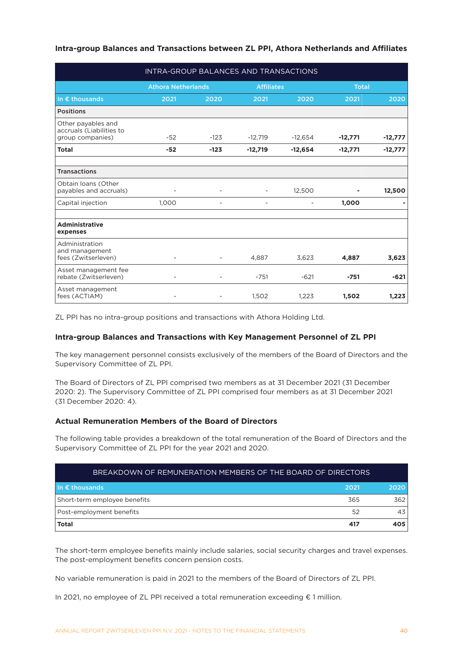### **Intra-group Balances and Transactions between ZL PPI, Athora Netherlands and Affiliates**

| INTRA-GROUP BALANCES AND TRANSACTIONS                              |                           |        |                   |           |              |           |
|--------------------------------------------------------------------|---------------------------|--------|-------------------|-----------|--------------|-----------|
|                                                                    | <b>Athora Netherlands</b> |        | <b>Affiliates</b> |           | <b>Total</b> |           |
| In $\epsilon$ thousands                                            | 2021                      | 2020   | 2021              | 2020      | 2021         | 2020      |
| <b>Positions</b>                                                   |                           |        |                   |           |              |           |
| Other payables and<br>accruals (Liabilities to<br>group companies) | $-52$                     | $-123$ | $-12,719$         | $-12,654$ | $-12,771$    | $-12,777$ |
| <b>Total</b>                                                       | $-52$                     | $-123$ | $-12,719$         | $-12,654$ | $-12,771$    | $-12,777$ |
|                                                                    |                           |        |                   |           |              |           |
| <b>Transactions</b>                                                |                           |        |                   |           |              |           |
| Obtain loans (Other<br>payables and accruals)                      |                           |        |                   | 12,500    |              | 12,500    |
| Capital injection                                                  | 1,000                     |        |                   |           | 1,000        |           |
| <b>Administrative</b><br>expenses                                  |                           |        |                   |           |              |           |
| Administration<br>and management<br>fees (Zwitserleven)            |                           |        | 4,887             | 3,623     | 4,887        | 3,623     |
| Asset management fee<br>rebate (Zwitserleven)                      | $\overline{\phantom{0}}$  |        | $-751$            | $-621$    | $-751$       | $-621$    |
| Asset management<br>fees (ACTIAM)                                  |                           |        | 1,502             | 1,223     | 1,502        | 1,223     |

ZL PPI has no intra-group positions and transactions with Athora Holding Ltd.

#### **Intra-group Balances and Transactions with Key Management Personnel of ZL PPI**

The key management personnel consists exclusively of the members of the Board of Directors and the Supervisory Committee of ZL PPI.

The Board of Directors of ZL PPI comprised two members as at 31 December 2021 (31 December 2020: 2). The Supervisory Committee of ZL PPI comprised four members as at 31 December 2021 (31 December 2020: 4).

#### **Actual Remuneration Members of the Board of Directors**

The following table provides a breakdown of the total remuneration of the Board of Directors and the Supervisory Committee of ZL PPI for the year 2021 and 2020.

| BREAKDOWN OF REMUNERATION MEMBERS OF THE BOARD OF DIRECTORS |      |      |
|-------------------------------------------------------------|------|------|
| I In $\epsilon$ thousands                                   | 2021 | 2020 |
| Short-term employee benefits                                | 365  | 362  |
| Post-employment benefits                                    | 52   | 43   |
| <b>Total</b>                                                | 417  | 405  |

The short-term employee benefits mainly include salaries, social security charges and travel expenses. The post-employment benefits concern pension costs.

No variable remuneration is paid in 2021 to the members of the Board of Directors of ZL PPI.

In 2021, no employee of ZL PPI received a total remuneration exceeding € 1 million.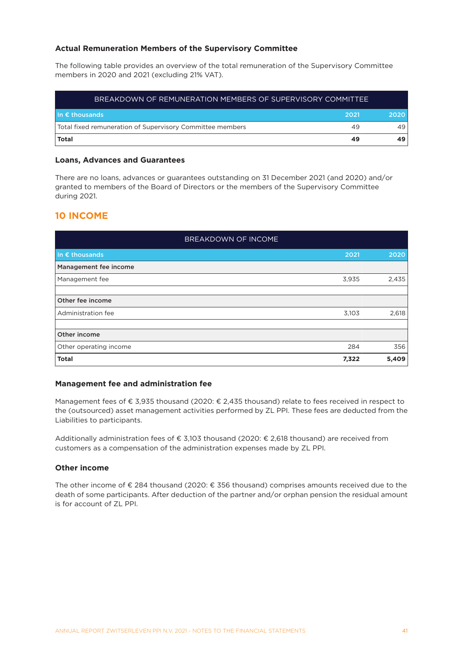#### **Actual Remuneration Members of the Supervisory Committee**

The following table provides an overview of the total remuneration of the Supervisory Committee members in 2020 and 2021 (excluding 21% VAT).

| BREAKDOWN OF REMUNERATION MEMBERS OF SUPERVISORY COMMITTEE |      |      |  |
|------------------------------------------------------------|------|------|--|
| $\mathsf{In} \in \mathsf{th}$ ousands                      | 2021 | 2020 |  |
| Total fixed remuneration of Supervisory Committee members  | 49   |      |  |
| <b>Total</b>                                               | 49   |      |  |

#### **Loans, Advances and Guarantees**

There are no loans, advances or guarantees outstanding on 31 December 2021 (and 2020) and/or granted to members of the Board of Directors or the members of the Supervisory Committee during 2021.

### **10 INCOME**

| BREAKDOWN OF INCOME     |       |       |
|-------------------------|-------|-------|
| In $\epsilon$ thousands | 2021  | 2020  |
| Management fee income   |       |       |
| Management fee          | 3,935 | 2,435 |
|                         |       |       |
| Other fee income        |       |       |
| Administration fee      | 3,103 | 2,618 |
|                         |       |       |
| Other income            |       |       |
| Other operating income  | 284   | 356   |
| <b>Total</b>            | 7,322 | 5,409 |

#### **Management fee and administration fee**

Management fees of € 3,935 thousand (2020: € 2,435 thousand) relate to fees received in respect to the (outsourced) asset management activities performed by ZL PPI. These fees are deducted from the Liabilities to participants.

Additionally administration fees of € 3,103 thousand (2020: € 2,618 thousand) are received from customers as a compensation of the administration expenses made by ZL PPI.

#### **Other income**

The other income of € 284 thousand (2020: € 356 thousand) comprises amounts received due to the death of some participants. After deduction of the partner and/or orphan pension the residual amount is for account of ZL PPI.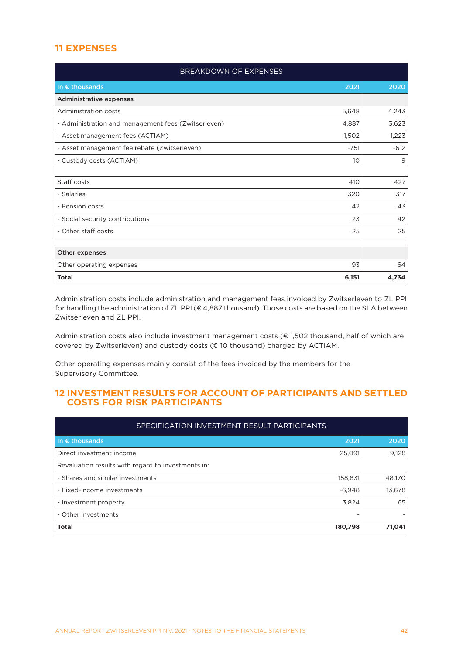# **11 EXPENSES**

| BREAKDOWN OF EXPENSES                               |        |        |
|-----------------------------------------------------|--------|--------|
| In $\epsilon$ thousands                             | 2021   | 2020   |
| <b>Administrative expenses</b>                      |        |        |
| Administration costs                                | 5,648  | 4,243  |
| - Administration and management fees (Zwitserleven) | 4,887  | 3,623  |
| - Asset management fees (ACTIAM)                    | 1,502  | 1,223  |
| - Asset management fee rebate (Zwitserleven)        | $-751$ | $-612$ |
| - Custody costs (ACTIAM)                            | 10     | 9      |
|                                                     |        |        |
| Staff costs                                         | 410    | 427    |
| - Salaries                                          | 320    | 317    |
| - Pension costs                                     | 42     | 43     |
| - Social security contributions                     | 23     | 42     |
| - Other staff costs                                 | 25     | 25     |
|                                                     |        |        |
| Other expenses                                      |        |        |
| Other operating expenses                            | 93     | 64     |
| <b>Total</b>                                        | 6,151  | 4,734  |

Administration costs include administration and management fees invoiced by Zwitserleven to ZL PPI for handling the administration of ZL PPI (€ 4,887 thousand). Those costs are based on the SLA between Zwitserleven and ZL PPI.

Administration costs also include investment management costs ( $\epsilon$  1,502 thousand, half of which are covered by Zwitserleven) and custody costs (€ 10 thousand) charged by ACTIAM.

Other operating expenses mainly consist of the fees invoiced by the members for the Supervisory Committee.

### **12 INVESTMENT RESULTS FOR ACCOUNT OF PARTICIPANTS AND SETTLED COSTS FOR RISK PARTICIPANTS**

| SPECIFICATION INVESTMENT RESULT PARTICIPANTS       |          |        |  |
|----------------------------------------------------|----------|--------|--|
| In $\epsilon$ thousands                            | 2021     | 2020   |  |
| Direct investment income                           | 25,091   | 9,128  |  |
| Revaluation results with regard to investments in: |          |        |  |
| - Shares and similar investments                   | 158,831  | 48,170 |  |
| - Fixed-income investments                         | $-6.948$ | 13,678 |  |
| - Investment property                              | 3,824    | 65     |  |
| - Other investments                                |          |        |  |
| <b>Total</b>                                       | 180,798  | 71,041 |  |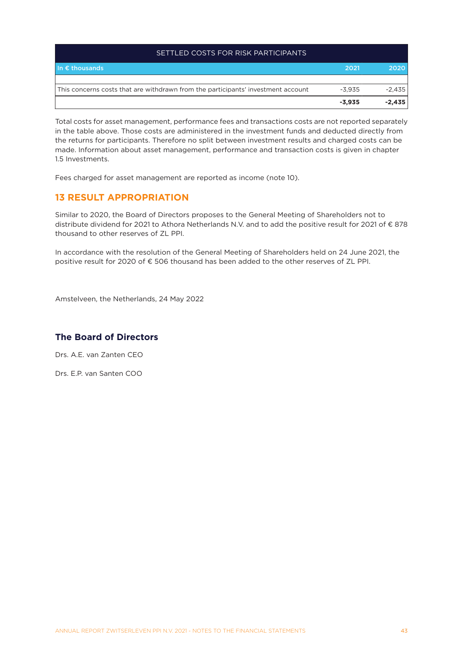| SETTLED COSTS FOR RISK PARTICIPANTS                                              |          |          |
|----------------------------------------------------------------------------------|----------|----------|
| In $\epsilon$ thousands                                                          | 2021     | 2020     |
|                                                                                  |          |          |
| This concerns costs that are withdrawn from the participants' investment account | $-3.935$ | $-2,435$ |
|                                                                                  | $-3.935$ | $-2.435$ |

Total costs for asset management, performance fees and transactions costs are not reported separately in the table above. Those costs are administered in the investment funds and deducted directly from the returns for participants. Therefore no split between investment results and charged costs can be made. Information about asset management, performance and transaction costs is given in chapter 1.5 Investments.

Fees charged for asset management are reported as income (note 10).

## **13 RESULT APPROPRIATION**

Similar to 2020, the Board of Directors proposes to the General Meeting of Shareholders not to distribute dividend for 2021 to Athora Netherlands N.V. and to add the positive result for 2021 of € 878 thousand to other reserves of ZL PPI.

In accordance with the resolution of the General Meeting of Shareholders held on 24 June 2021, the positive result for 2020 of € 506 thousand has been added to the other reserves of ZL PPI.

Amstelveen, the Netherlands, 24 May 2022

## **The Board of Directors**

Drs. A.E. van Zanten CEO

Drs. E.P. van Santen COO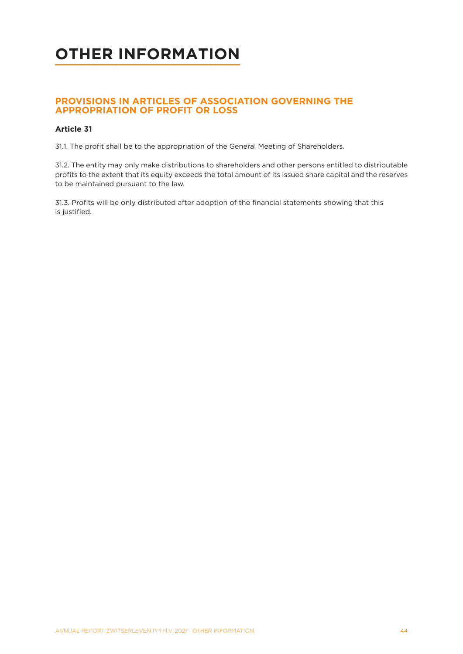# <span id="page-43-0"></span>**OTHER INFORMATION**

## **PROVISIONS IN ARTICLES OF ASSOCIATION GOVERNING THE APPROPRIATION OF PROFIT OR LOSS**

### **Article 31**

31.1. The profit shall be to the appropriation of the General Meeting of Shareholders.

31.2. The entity may only make distributions to shareholders and other persons entitled to distributable profits to the extent that its equity exceeds the total amount of its issued share capital and the reserves to be maintained pursuant to the law.

31.3. Profits will be only distributed after adoption of the financial statements showing that this is justified.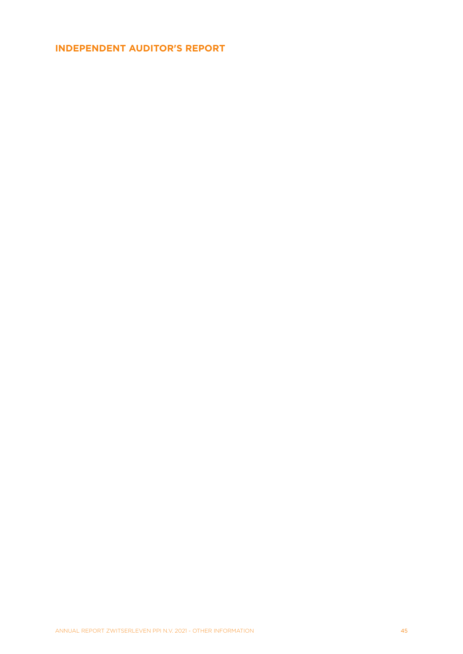# <span id="page-44-0"></span>**INDEPENDENT AUDITOR'S REPORT**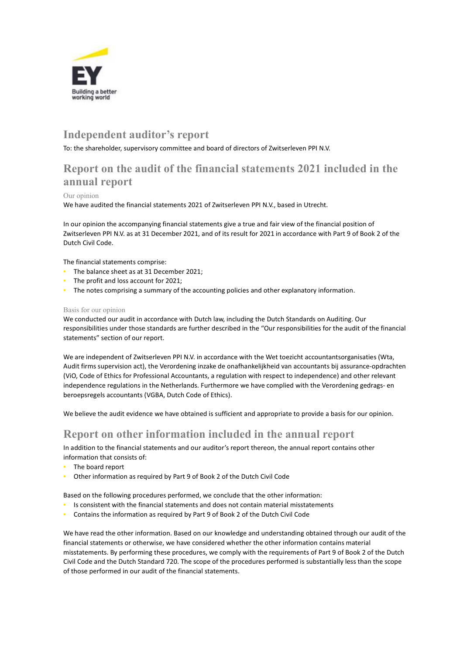

# Independent auditor's report

To: the shareholder, supervisory committee and board of directors of Zwitserleven PPI N.V.

# Report on the audit of the financial statements 2021 included in the annual report

#### Our opinion

We have audited the financial statements 2021 of Zwitserleven PPI N.V., based in Utrecht.

In our opinion the accompanying financial statements give a true and fair view of the financial position of Zwitserleven PPI N.V. as at 31 December 2021, and of its result for 2021 in accordance with Part 9 of Book 2 of the Dutch Civil Code.

The financial statements comprise:

- The balance sheet as at 31 December 2021;
- The profit and loss account for 2021;
- The notes comprising a summary of the accounting policies and other explanatory information.

#### Basis for our opinion

We conducted our audit in accordance with Dutch law, including the Dutch Standards on Auditing. Our responsibilities under those standards are further described in the "Our responsibilities for the audit of the financial statements" section of our report.

We are independent of Zwitserleven PPI N.V. in accordance with the Wet toezicht accountantsorganisaties (Wta, Audit firms supervision act), the Verordening inzake de onafhankelijkheid van accountants bij assurance-opdrachten (ViO, Code of Ethics for Professional Accountants, a regulation with respect to independence) and other relevant independence regulations in the Netherlands. Furthermore we have complied with the Verordening gedrags- en beroepsregels accountants (VGBA, Dutch Code of Ethics).

We believe the audit evidence we have obtained is sufficient and appropriate to provide a basis for our opinion.

## Report on other information included in the annual report

In addition to the financial statements and our auditor's report thereon, the annual report contains other information that consists of:

- The board report
- Other information as required by Part 9 of Book 2 of the Dutch Civil Code

Based on the following procedures performed, we conclude that the other information:

- Is consistent with the financial statements and does not contain material misstatements
- Contains the information as required by Part 9 of Book 2 of the Dutch Civil Code

We have read the other information. Based on our knowledge and understanding obtained through our audit of the financial statements or otherwise, we have considered whether the other information contains material misstatements. By performing these procedures, we comply with the requirements of Part 9 of Book 2 of the Dutch Civil Code and the Dutch Standard 720. The scope of the procedures performed is substantially less than the scope of those performed in our audit of the financial statements.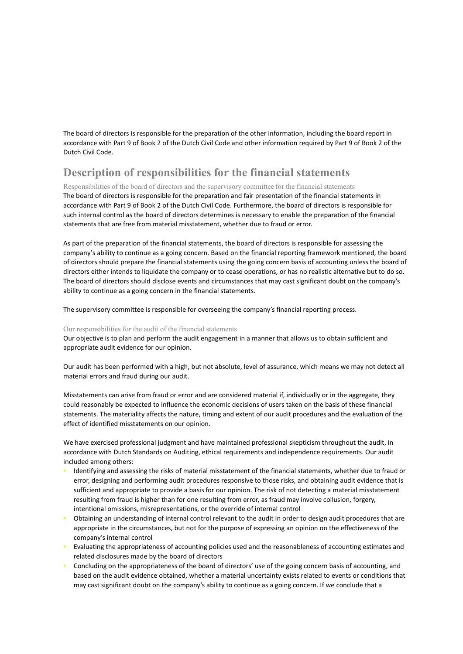The board of directors is responsible for the preparation of the other information, including the board report in accordance with Part 9 of Book 2 of the Dutch Civil Code and other information required by Part 9 of Book 2 of the Dutch Civil Code.

# Description of responsibilities for the financial statements

Responsibilities of the board of directors and the supervisory committee for the financial statements The board of directors is responsible for the preparation and fair presentation of the financial statements in accordance with Part 9 of Book 2 of the Dutch Civil Code. Furthermore, the board of directors is responsible for such internal control as the board of directors determines is necessary to enable the preparation of the financial statements that are free from material misstatement, whether due to fraud or error.

As part of the preparation of the financial statements, the board of directors is responsible for assessing the company's ability to continue as a going concern. Based on the financial reporting framework mentioned, the board of directors should prepare the financial statements using the going concern basis of accounting unless the board of directors either intends to liquidate the company or to cease operations, or has no realistic alternative but to do so. The board of directors should disclose events and circumstances that may cast significant doubt on the company's ability to continue as a going concern in the financial statements.

The supervisory committee is responsible for overseeing the company's financial reporting process.

#### Our responsibilities for the audit of the financial statements

Our objective is to plan and perform the audit engagement in a manner that allows us to obtain sufficient and appropriate audit evidence for our opinion.

Our audit has been performed with a high, but not absolute, level of assurance, which means we may not detect all material errors and fraud during our audit.

Misstatements can arise from fraud or error and are considered material if, individually or in the aggregate, they could reasonably be expected to influence the economic decisions of users taken on the basis of these financial statements. The materiality affects the nature, timing and extent of our audit procedures and the evaluation of the effect of identified misstatements on our opinion.

We have exercised professional judgment and have maintained professional skepticism throughout the audit, in accordance with Dutch Standards on Auditing, ethical requirements and independence requirements. Our audit included among others:

- Identifying and assessing the risks of material misstatement of the financial statements, whether due to fraud or error, designing and performing audit procedures responsive to those risks, and obtaining audit evidence that is sufficient and appropriate to provide a basis for our opinion. The risk of not detecting a material misstatement resulting from fraud is higher than for one resulting from error, as fraud may involve collusion, forgery, intentional omissions, misrepresentations, or the override of internal control
- Obtaining an understanding of internal control relevant to the audit in order to design audit procedures that are appropriate in the circumstances, but not for the purpose of expressing an opinion on the effectiveness of the company's internal control
- Evaluating the appropriateness of accounting policies used and the reasonableness of accounting estimates and related disclosures made by the board of directors
- Concluding on the appropriateness of the board of directors' use of the going concern basis of accounting, and based on the audit evidence obtained, whether a material uncertainty exists related to events or conditions that may cast significant doubt on the company's ability to continue as a going concern. If we conclude that a